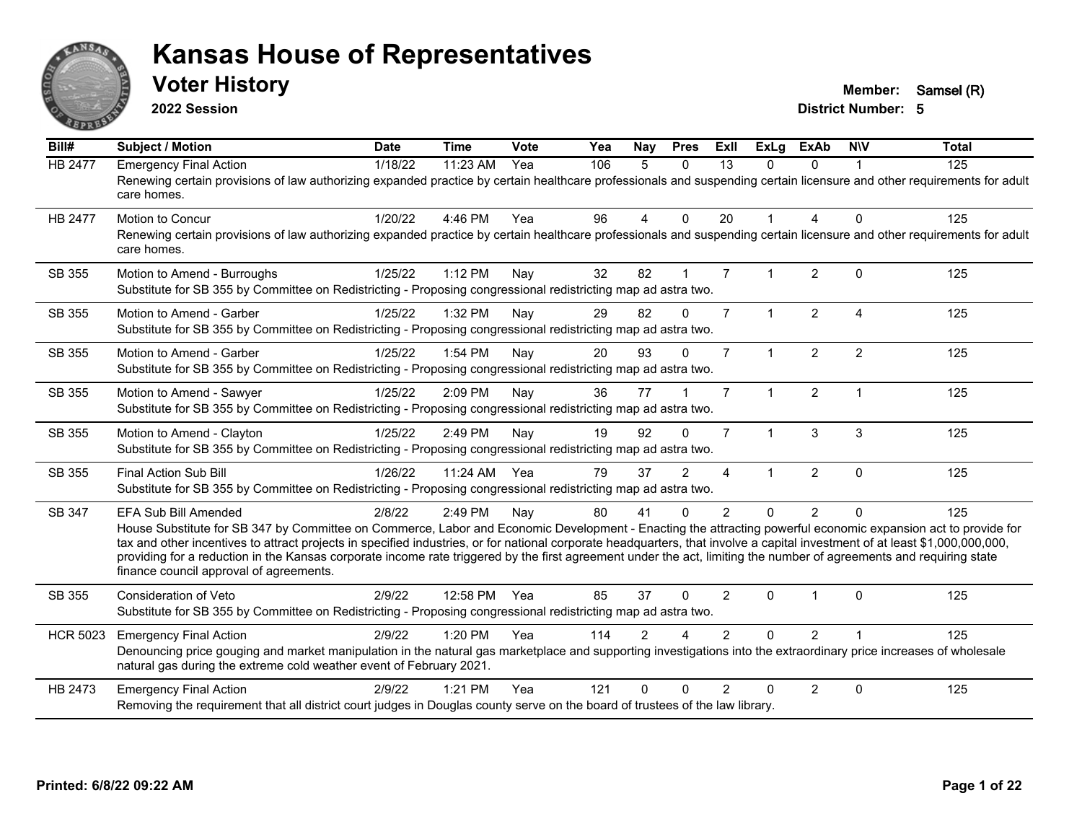

**2022 Session**

**Voter History Member:** Samsel (R)

| Bill#           | <b>Subject / Motion</b>                                                                                                                                                                                                                                                                                                                                                                                                                                                                                                                                                                     | <b>Date</b> | <b>Time</b> | Vote | Yea | Nay           | <b>Pres</b>   | ExII           | <b>ExLg</b>  | <b>ExAb</b>    | <b>NIV</b>             | <b>Total</b> |
|-----------------|---------------------------------------------------------------------------------------------------------------------------------------------------------------------------------------------------------------------------------------------------------------------------------------------------------------------------------------------------------------------------------------------------------------------------------------------------------------------------------------------------------------------------------------------------------------------------------------------|-------------|-------------|------|-----|---------------|---------------|----------------|--------------|----------------|------------------------|--------------|
| <b>HB 2477</b>  | <b>Emergency Final Action</b><br>Renewing certain provisions of law authorizing expanded practice by certain healthcare professionals and suspending certain licensure and other requirements for adult<br>care homes.                                                                                                                                                                                                                                                                                                                                                                      | 1/18/22     | 11:23 AM    | Yea  | 106 | 5             | $\Omega$      | 13             | $\Omega$     | $\Omega$       |                        | 125          |
| <b>HB 2477</b>  | <b>Motion to Concur</b><br>Renewing certain provisions of law authorizing expanded practice by certain healthcare professionals and suspending certain licensure and other requirements for adult<br>care homes.                                                                                                                                                                                                                                                                                                                                                                            | 1/20/22     | 4:46 PM     | Yea  | 96  | 4             | $\mathbf 0$   | 20             |              | 4              | $\mathbf{0}$           | 125          |
| SB 355          | Motion to Amend - Burroughs<br>Substitute for SB 355 by Committee on Redistricting - Proposing congressional redistricting map ad astra two.                                                                                                                                                                                                                                                                                                                                                                                                                                                | 1/25/22     | 1:12 PM     | Nav  | 32  | 82            |               | $\overline{7}$ |              | $\overline{2}$ | $\Omega$               | 125          |
| SB 355          | Motion to Amend - Garber<br>Substitute for SB 355 by Committee on Redistricting - Proposing congressional redistricting map ad astra two.                                                                                                                                                                                                                                                                                                                                                                                                                                                   | 1/25/22     | 1:32 PM     | Nay  | 29  | 82            | $\Omega$      | $\overline{7}$ | $\mathbf{1}$ | $\overline{2}$ | $\boldsymbol{\Lambda}$ | 125          |
| SB 355          | Motion to Amend - Garber<br>Substitute for SB 355 by Committee on Redistricting - Proposing congressional redistricting map ad astra two.                                                                                                                                                                                                                                                                                                                                                                                                                                                   | 1/25/22     | 1:54 PM     | Nay  | 20  | 93            | $\Omega$      | $\overline{7}$ |              | 2              | $\overline{2}$         | 125          |
| SB 355          | Motion to Amend - Sawyer<br>Substitute for SB 355 by Committee on Redistricting - Proposing congressional redistricting map ad astra two.                                                                                                                                                                                                                                                                                                                                                                                                                                                   | 1/25/22     | 2:09 PM     | Nay  | 36  | 77            |               | $\overline{7}$ | $\mathbf{1}$ | 2              | $\overline{1}$         | 125          |
| SB 355          | Motion to Amend - Clayton<br>Substitute for SB 355 by Committee on Redistricting - Proposing congressional redistricting map ad astra two.                                                                                                                                                                                                                                                                                                                                                                                                                                                  | 1/25/22     | 2:49 PM     | Nay  | 19  | 92            | $\Omega$      | $\overline{7}$ |              | 3              | 3                      | 125          |
| SB 355          | Final Action Sub Bill<br>Substitute for SB 355 by Committee on Redistricting - Proposing congressional redistricting map ad astra two.                                                                                                                                                                                                                                                                                                                                                                                                                                                      | 1/26/22     | 11:24 AM    | Yea  | 79  | 37            | $\mathcal{P}$ | 4              |              | $\overline{2}$ | $\mathbf{0}$           | 125          |
| SB 347          | EFA Sub Bill Amended<br>House Substitute for SB 347 by Committee on Commerce, Labor and Economic Development - Enacting the attracting powerful economic expansion act to provide for<br>tax and other incentives to attract projects in specified industries, or for national corporate headquarters, that involve a capital investment of at least \$1,000,000,000,000,<br>providing for a reduction in the Kansas corporate income rate triggered by the first agreement under the act, limiting the number of agreements and requiring state<br>finance council approval of agreements. | 2/8/22      | 2:49 PM     | Nay  | 80  | 41            | $\Omega$      | $\mathfrak{p}$ | $\Omega$     | $\overline{2}$ | $\Omega$               | 125          |
| SB 355          | Consideration of Veto<br>Substitute for SB 355 by Committee on Redistricting - Proposing congressional redistricting map ad astra two.                                                                                                                                                                                                                                                                                                                                                                                                                                                      | 2/9/22      | 12:58 PM    | Yea  | 85  | 37            | $\Omega$      | 2              | $\Omega$     |                | $\mathbf{0}$           | 125          |
| <b>HCR 5023</b> | <b>Emergency Final Action</b><br>Denouncing price gouging and market manipulation in the natural gas marketplace and supporting investigations into the extraordinary price increases of wholesale<br>natural gas during the extreme cold weather event of February 2021.                                                                                                                                                                                                                                                                                                                   | 2/9/22      | 1:20 PM     | Yea  | 114 | $\mathcal{P}$ |               | $\mathcal{P}$  | $\Omega$     | $\overline{2}$ |                        | 125          |
| HB 2473         | <b>Emergency Final Action</b><br>Removing the requirement that all district court judges in Douglas county serve on the board of trustees of the law library.                                                                                                                                                                                                                                                                                                                                                                                                                               | 2/9/22      | $1:21$ PM   | Yea  | 121 | $\Omega$      | $\Omega$      | $\mathcal{P}$  | 0            | $\overline{2}$ | $\Omega$               | 125          |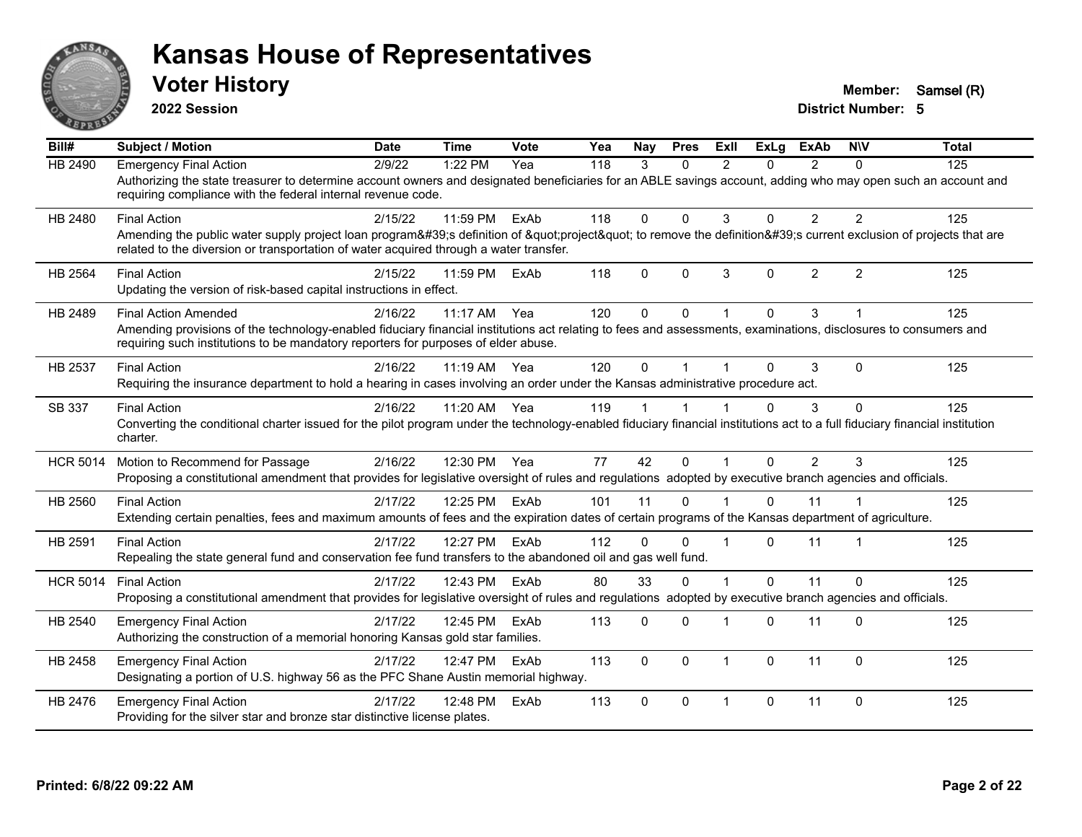

**2022 Session**

**Voter History Member:** Samsel (R)

| $\overline{BiII#}$ | <b>Subject / Motion</b>                                                                                                                                                                                                                                                              | <b>Date</b> | <b>Time</b> | <b>Vote</b> | Yea | Nay         | <b>Pres</b>  | ExII                    | <b>ExLg</b> | <b>ExAb</b>    | <b>NIV</b>     | <b>Total</b> |
|--------------------|--------------------------------------------------------------------------------------------------------------------------------------------------------------------------------------------------------------------------------------------------------------------------------------|-------------|-------------|-------------|-----|-------------|--------------|-------------------------|-------------|----------------|----------------|--------------|
| <b>HB 2490</b>     | <b>Emergency Final Action</b><br>Authorizing the state treasurer to determine account owners and designated beneficiaries for an ABLE savings account, adding who may open such an account and<br>requiring compliance with the federal internal revenue code.                       | 2/9/22      | 1:22 PM     | Yea         | 118 | 3           | $\Omega$     | $\mathcal{P}$           | $\Omega$    | $\mathcal{P}$  | $\Omega$       | 125          |
| HB 2480            | <b>Final Action</b><br>Amending the public water supply project loan program's definition of "project" to remove the definition's current exclusion of projects that are<br>related to the diversion or transportation of water acquired through a water transfer.                   | 2/15/22     | 11:59 PM    | ExAb        | 118 | $\Omega$    | $\Omega$     | 3                       | $\Omega$    | $\overline{2}$ | $\overline{2}$ | 125          |
| HB 2564            | <b>Final Action</b><br>Updating the version of risk-based capital instructions in effect.                                                                                                                                                                                            | 2/15/22     | 11:59 PM    | ExAb        | 118 | $\Omega$    | $\Omega$     | 3                       | $\Omega$    | 2              | 2              | 125          |
| HB 2489            | <b>Final Action Amended</b><br>Amending provisions of the technology-enabled fiduciary financial institutions act relating to fees and assessments, examinations, disclosures to consumers and<br>requiring such institutions to be mandatory reporters for purposes of elder abuse. | 2/16/22     | 11:17 AM    | Yea         | 120 | $\Omega$    | $\Omega$     |                         | $\Omega$    | 3              |                | 125          |
| HB 2537            | <b>Final Action</b><br>Requiring the insurance department to hold a hearing in cases involving an order under the Kansas administrative procedure act.                                                                                                                               | 2/16/22     | $11:19$ AM  | Yea         | 120 | $\Omega$    |              |                         | 0           | 3              | $\Omega$       | 125          |
| SB 337             | <b>Final Action</b><br>Converting the conditional charter issued for the pilot program under the technology-enabled fiduciary financial institutions act to a full fiduciary financial institution<br>charter.                                                                       | 2/16/22     | 11:20 AM    | Yea         | 119 |             |              |                         | $\Omega$    | 3              | $\mathbf{0}$   | 125          |
| <b>HCR 5014</b>    | Motion to Recommend for Passage<br>Proposing a constitutional amendment that provides for legislative oversight of rules and regulations adopted by executive branch agencies and officials.                                                                                         | 2/16/22     | 12:30 PM    | Yea         | 77  | 42          | $\Omega$     | $\mathbf 1$             | $\Omega$    | $\mathcal{P}$  | 3              | 125          |
| HB 2560            | <b>Final Action</b><br>Extending certain penalties, fees and maximum amounts of fees and the expiration dates of certain programs of the Kansas department of agriculture.                                                                                                           | 2/17/22     | 12:25 PM    | ExAb        | 101 | 11          | $\Omega$     |                         | $\Omega$    | 11             |                | 125          |
| HB 2591            | <b>Final Action</b><br>Repealing the state general fund and conservation fee fund transfers to the abandoned oil and gas well fund.                                                                                                                                                  | 2/17/22     | 12:27 PM    | ExAb        | 112 | $\Omega$    | $\Omega$     | $\overline{\mathbf{1}}$ | $\Omega$    | 11             | $\mathbf 1$    | 125          |
| <b>HCR 5014</b>    | <b>Final Action</b><br>Proposing a constitutional amendment that provides for legislative oversight of rules and regulations adopted by executive branch agencies and officials.                                                                                                     | 2/17/22     | 12:43 PM    | ExAb        | 80  | 33          | $\mathbf{0}$ | $\overline{ }$          | $\Omega$    | 11             | $\Omega$       | 125          |
| HB 2540            | <b>Emergency Final Action</b><br>Authorizing the construction of a memorial honoring Kansas gold star families.                                                                                                                                                                      | 2/17/22     | 12:45 PM    | ExAb        | 113 | $\Omega$    | $\Omega$     | -1                      | $\Omega$    | 11             | $\Omega$       | 125          |
| HB 2458            | <b>Emergency Final Action</b><br>Designating a portion of U.S. highway 56 as the PFC Shane Austin memorial highway.                                                                                                                                                                  | 2/17/22     | 12:47 PM    | ExAb        | 113 | $\mathbf 0$ | $\mathbf 0$  | $\mathbf{1}$            | $\Omega$    | 11             | $\mathbf{0}$   | 125          |
| HB 2476            | <b>Emergency Final Action</b><br>Providing for the silver star and bronze star distinctive license plates.                                                                                                                                                                           | 2/17/22     | 12:48 PM    | ExAb        | 113 | $\Omega$    | $\Omega$     | $\mathbf 1$             | $\Omega$    | 11             | $\Omega$       | 125          |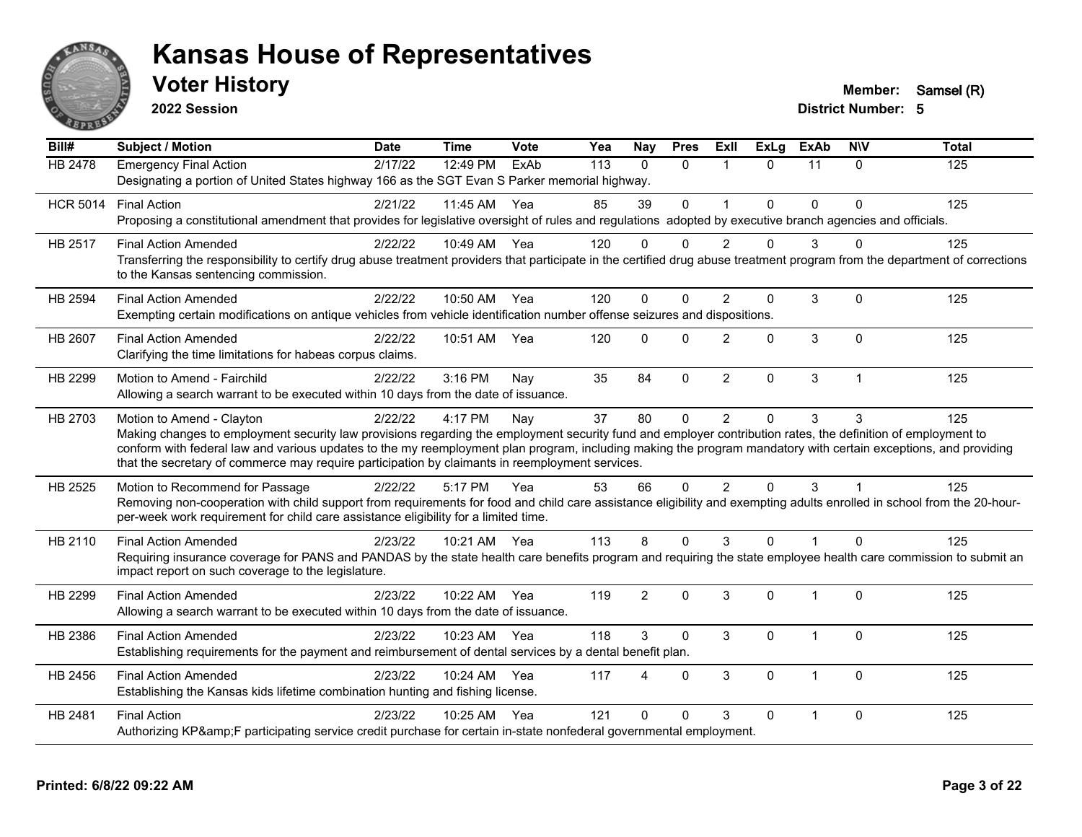

**2022 Session**

**Voter History Member:** Samsel (R)

| Bill#           | <b>Subject / Motion</b>                                                                                                                                                                                                                                                                                                                                                                                                                                         | <b>Date</b> | <b>Time</b>  | Vote | Yea | <b>Nay</b>     | <b>Pres</b>  | Exll                    | $\overline{Ex}$ Lg | <b>ExAb</b>    | <b>NIV</b>   | <b>Total</b> |
|-----------------|-----------------------------------------------------------------------------------------------------------------------------------------------------------------------------------------------------------------------------------------------------------------------------------------------------------------------------------------------------------------------------------------------------------------------------------------------------------------|-------------|--------------|------|-----|----------------|--------------|-------------------------|--------------------|----------------|--------------|--------------|
| <b>HB 2478</b>  | <b>Emergency Final Action</b><br>Designating a portion of United States highway 166 as the SGT Evan S Parker memorial highway.                                                                                                                                                                                                                                                                                                                                  | 2/17/22     | 12:49 PM     | ExAb | 113 | $\Omega$       | $\Omega$     | $\overline{\mathbf{1}}$ | $\Omega$           | 11             | $\Omega$     | 125          |
| <b>HCR 5014</b> | <b>Final Action</b><br>Proposing a constitutional amendment that provides for legislative oversight of rules and regulations adopted by executive branch agencies and officials.                                                                                                                                                                                                                                                                                | 2/21/22     | 11:45 AM     | Yea  | 85  | 39             | $\mathbf{0}$ | $\overline{\mathbf{1}}$ | $\Omega$           | $\Omega$       | $\Omega$     | 125          |
| <b>HB 2517</b>  | <b>Final Action Amended</b><br>Transferring the responsibility to certify drug abuse treatment providers that participate in the certified drug abuse treatment program from the department of corrections<br>to the Kansas sentencing commission.                                                                                                                                                                                                              | 2/22/22     | 10:49 AM     | Yea  | 120 | $\mathbf{0}$   | $\Omega$     | 2                       | 0                  | 3              | ∩            | 125          |
| <b>HB 2594</b>  | <b>Final Action Amended</b><br>Exempting certain modifications on antique vehicles from vehicle identification number offense seizures and dispositions.                                                                                                                                                                                                                                                                                                        | 2/22/22     | 10:50 AM Yea |      | 120 | $\mathbf{0}$   | $\Omega$     | 2                       | 0                  | 3              | $\mathbf 0$  | 125          |
| <b>HB 2607</b>  | <b>Final Action Amended</b><br>Clarifying the time limitations for habeas corpus claims.                                                                                                                                                                                                                                                                                                                                                                        | 2/22/22     | 10:51 AM     | Yea  | 120 | $\mathbf{0}$   | $\Omega$     | $\mathfrak{p}$          | $\Omega$           | 3              | $\Omega$     | 125          |
| HB 2299         | Motion to Amend - Fairchild<br>Allowing a search warrant to be executed within 10 days from the date of issuance.                                                                                                                                                                                                                                                                                                                                               | 2/22/22     | 3:16 PM      | Nay  | 35  | 84             | $\mathbf 0$  | $\overline{2}$          | 0                  | 3              | $\mathbf{1}$ | 125          |
| HB 2703         | Motion to Amend - Clayton<br>Making changes to employment security law provisions regarding the employment security fund and employer contribution rates, the definition of employment to<br>conform with federal law and various updates to the my reemployment plan program, including making the program mandatory with certain exceptions, and providing<br>that the secretary of commerce may require participation by claimants in reemployment services. | 2/22/22     | 4:17 PM      | Nay  | 37  | 80             | $\mathbf 0$  | $\overline{2}$          | $\Omega$           | 3              | 3            | 125          |
| HB 2525         | Motion to Recommend for Passage<br>Removing non-cooperation with child support from requirements for food and child care assistance eligibility and exempting adults enrolled in school from the 20-hour-<br>per-week work requirement for child care assistance eligibility for a limited time.                                                                                                                                                                | 2/22/22     | 5:17 PM      | Yea  | 53  | 66             | $\mathbf{0}$ | 2                       | $\Omega$           | 3              |              | 125          |
| HB 2110         | <b>Final Action Amended</b><br>Requiring insurance coverage for PANS and PANDAS by the state health care benefits program and requiring the state employee health care commission to submit an<br>impact report on such coverage to the legislature.                                                                                                                                                                                                            | 2/23/22     | 10:21 AM Yea |      | 113 | 8              | $\Omega$     | 3                       | $\Omega$           | 1              | $\Omega$     | 125          |
| HB 2299         | <b>Final Action Amended</b><br>Allowing a search warrant to be executed within 10 days from the date of issuance.                                                                                                                                                                                                                                                                                                                                               | 2/23/22     | 10:22 AM     | Yea  | 119 | $\overline{2}$ | $\mathbf{0}$ | 3                       | $\Omega$           | $\overline{1}$ | $\Omega$     | 125          |
| HB 2386         | <b>Final Action Amended</b><br>Establishing requirements for the payment and reimbursement of dental services by a dental benefit plan.                                                                                                                                                                                                                                                                                                                         | 2/23/22     | 10:23 AM     | Yea  | 118 | 3              | $\mathbf{0}$ | 3                       | 0                  | $\overline{1}$ | $\mathbf{0}$ | 125          |
| HB 2456         | <b>Final Action Amended</b><br>Establishing the Kansas kids lifetime combination hunting and fishing license.                                                                                                                                                                                                                                                                                                                                                   | 2/23/22     | 10:24 AM     | Yea  | 117 | Δ              | $\Omega$     | 3                       | $\Omega$           | -1             | $\Omega$     | 125          |
| HB 2481         | <b>Final Action</b><br>Authorizing KP&F participating service credit purchase for certain in-state nonfederal governmental employment.                                                                                                                                                                                                                                                                                                                          | 2/23/22     | 10:25 AM     | Yea  | 121 | $\Omega$       | $\Omega$     | 3                       | $\Omega$           |                | $\Omega$     | 125          |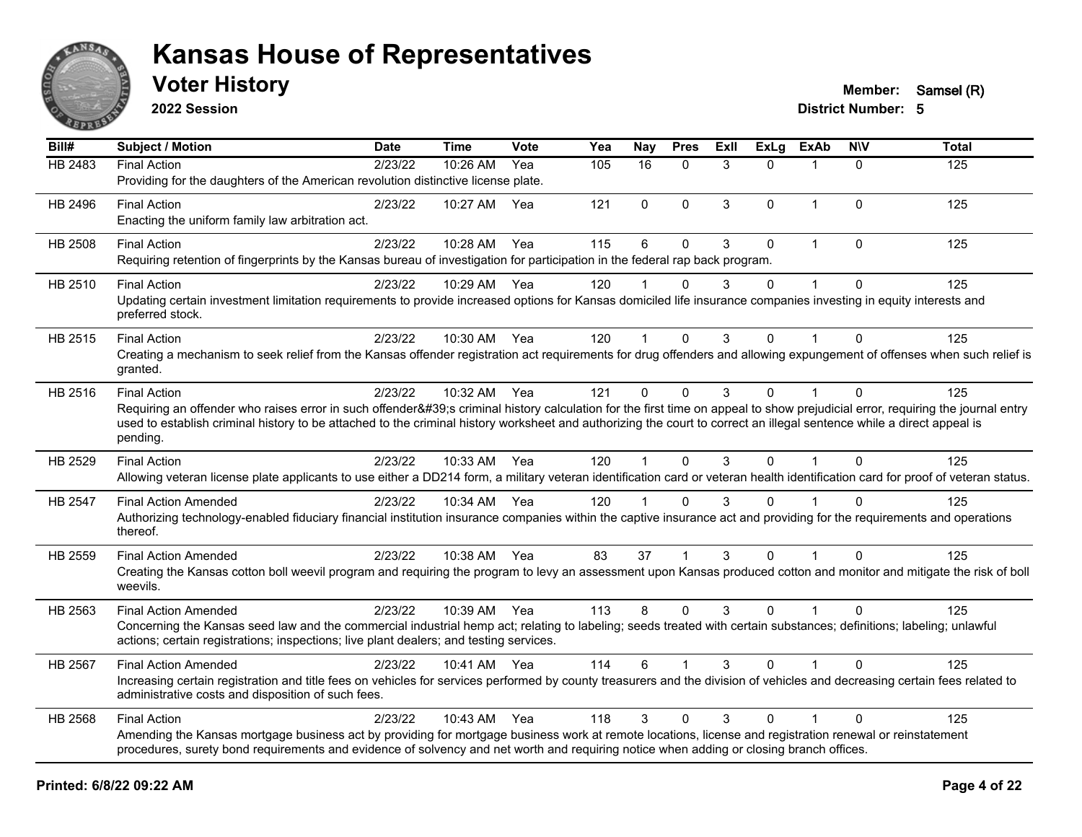

**2022 Session**

| Bill#          | <b>Subject / Motion</b>                                                                                                                                                                                                                                                                                                                                         | <b>Date</b> | Time         | <b>Vote</b> | Yea | <b>Nay</b>           | <b>Pres</b>  | ExII | <b>ExLg</b> | <b>ExAb</b>    | <b>NIV</b>   | <b>Total</b> |
|----------------|-----------------------------------------------------------------------------------------------------------------------------------------------------------------------------------------------------------------------------------------------------------------------------------------------------------------------------------------------------------------|-------------|--------------|-------------|-----|----------------------|--------------|------|-------------|----------------|--------------|--------------|
| <b>HB 2483</b> | <b>Final Action</b>                                                                                                                                                                                                                                                                                                                                             | 2/23/22     | 10:26 AM     | Yea         | 105 | 16                   | $\mathbf{0}$ | 3    | $\Omega$    | $\mathbf 1$    | $\Omega$     | 125          |
|                | Providing for the daughters of the American revolution distinctive license plate.                                                                                                                                                                                                                                                                               |             |              |             |     |                      |              |      |             |                |              |              |
| HB 2496        | <b>Final Action</b><br>Enacting the uniform family law arbitration act.                                                                                                                                                                                                                                                                                         | 2/23/22     | 10:27 AM     | Yea         | 121 | $\Omega$             | $\mathbf 0$  | 3    | $\Omega$    | $\overline{1}$ | $\Omega$     | 125          |
| HB 2508        | <b>Final Action</b>                                                                                                                                                                                                                                                                                                                                             | 2/23/22     | 10:28 AM     | Yea         | 115 | $6\phantom{1}$       | $\mathbf 0$  | 3    | $\Omega$    | $\mathbf{1}$   | $\Omega$     | 125          |
|                | Requiring retention of fingerprints by the Kansas bureau of investigation for participation in the federal rap back program.                                                                                                                                                                                                                                    |             |              |             |     |                      |              |      |             |                |              |              |
| HB 2510        | <b>Final Action</b>                                                                                                                                                                                                                                                                                                                                             | 2/23/22     | 10:29 AM Yea |             | 120 |                      | $\mathbf{0}$ | 3    | $\Omega$    | $\mathbf 1$    | $\Omega$     | 125          |
|                | Updating certain investment limitation requirements to provide increased options for Kansas domiciled life insurance companies investing in equity interests and<br>preferred stock.                                                                                                                                                                            |             |              |             |     |                      |              |      |             |                |              |              |
| HB 2515        | <b>Final Action</b>                                                                                                                                                                                                                                                                                                                                             | 2/23/22     | 10:30 AM Yea |             | 120 | $\blacktriangleleft$ | $\mathbf 0$  | 3    | 0           | 1              | $\Omega$     | 125          |
|                | Creating a mechanism to seek relief from the Kansas offender registration act requirements for drug offenders and allowing expungement of offenses when such relief is<br>granted.                                                                                                                                                                              |             |              |             |     |                      |              |      |             |                |              |              |
| HB 2516        | <b>Final Action</b>                                                                                                                                                                                                                                                                                                                                             | 2/23/22     | 10:32 AM Yea |             | 121 | $\Omega$             | $\mathbf{0}$ | 3    | $\Omega$    | $\mathbf{1}$   | $\mathbf{0}$ | 125          |
|                | Requiring an offender who raises error in such offender's criminal history calculation for the first time on appeal to show prejudicial error, requiring the journal entry<br>used to establish criminal history to be attached to the criminal history worksheet and authorizing the court to correct an illegal sentence while a direct appeal is<br>pending. |             |              |             |     |                      |              |      |             |                |              |              |
| HB 2529        | <b>Final Action</b>                                                                                                                                                                                                                                                                                                                                             | 2/23/22     | 10:33 AM Yea |             | 120 | $\mathbf 1$          | $\mathbf{0}$ | 3    | $\Omega$    | $\mathbf{1}$   | $\Omega$     | 125          |
|                | Allowing veteran license plate applicants to use either a DD214 form, a military veteran identification card or veteran health identification card for proof of veteran status.                                                                                                                                                                                 |             |              |             |     |                      |              |      |             |                |              |              |
| HB 2547        | <b>Final Action Amended</b>                                                                                                                                                                                                                                                                                                                                     | 2/23/22     | 10:34 AM Yea |             | 120 |                      | $\Omega$     | 3    | 0           |                | $\Omega$     | 125          |
|                | Authorizing technology-enabled fiduciary financial institution insurance companies within the captive insurance act and providing for the requirements and operations<br>thereof.                                                                                                                                                                               |             |              |             |     |                      |              |      |             |                |              |              |
| HB 2559        | <b>Final Action Amended</b>                                                                                                                                                                                                                                                                                                                                     | 2/23/22     | 10:38 AM Yea |             | 83  | 37                   |              | 3    | $\Omega$    |                | $\Omega$     | 125          |
|                | Creating the Kansas cotton boll weevil program and requiring the program to levy an assessment upon Kansas produced cotton and monitor and mitigate the risk of boll<br>weevils.                                                                                                                                                                                |             |              |             |     |                      |              |      |             |                |              |              |
| HB 2563        | <b>Final Action Amended</b>                                                                                                                                                                                                                                                                                                                                     | 2/23/22     | 10:39 AM Yea |             | 113 | 8                    | $\Omega$     | 3    | $\Omega$    | $\mathbf{1}$   | $\Omega$     | 125          |
|                | Concerning the Kansas seed law and the commercial industrial hemp act; relating to labeling; seeds treated with certain substances; definitions; labeling; unlawful<br>actions; certain registrations; inspections; live plant dealers; and testing services.                                                                                                   |             |              |             |     |                      |              |      |             |                |              |              |
| <b>HB 2567</b> | <b>Final Action Amended</b>                                                                                                                                                                                                                                                                                                                                     | 2/23/22     | 10:41 AM Yea |             | 114 | 6                    |              | 3    | $\Omega$    |                | $\Omega$     | 125          |
|                | Increasing certain registration and title fees on vehicles for services performed by county treasurers and the division of vehicles and decreasing certain fees related to<br>administrative costs and disposition of such fees.                                                                                                                                |             |              |             |     |                      |              |      |             |                |              |              |
| HB 2568        | <b>Final Action</b>                                                                                                                                                                                                                                                                                                                                             | 2/23/22     | 10:43 AM     | Yea         | 118 | 3                    | $\mathbf 0$  | 3    | $\Omega$    |                | $\mathbf{0}$ | 125          |
|                | Amending the Kansas mortgage business act by providing for mortgage business work at remote locations, license and registration renewal or reinstatement<br>procedures, surety bond requirements and evidence of solvency and net worth and requiring notice when adding or closing branch offices.                                                             |             |              |             |     |                      |              |      |             |                |              |              |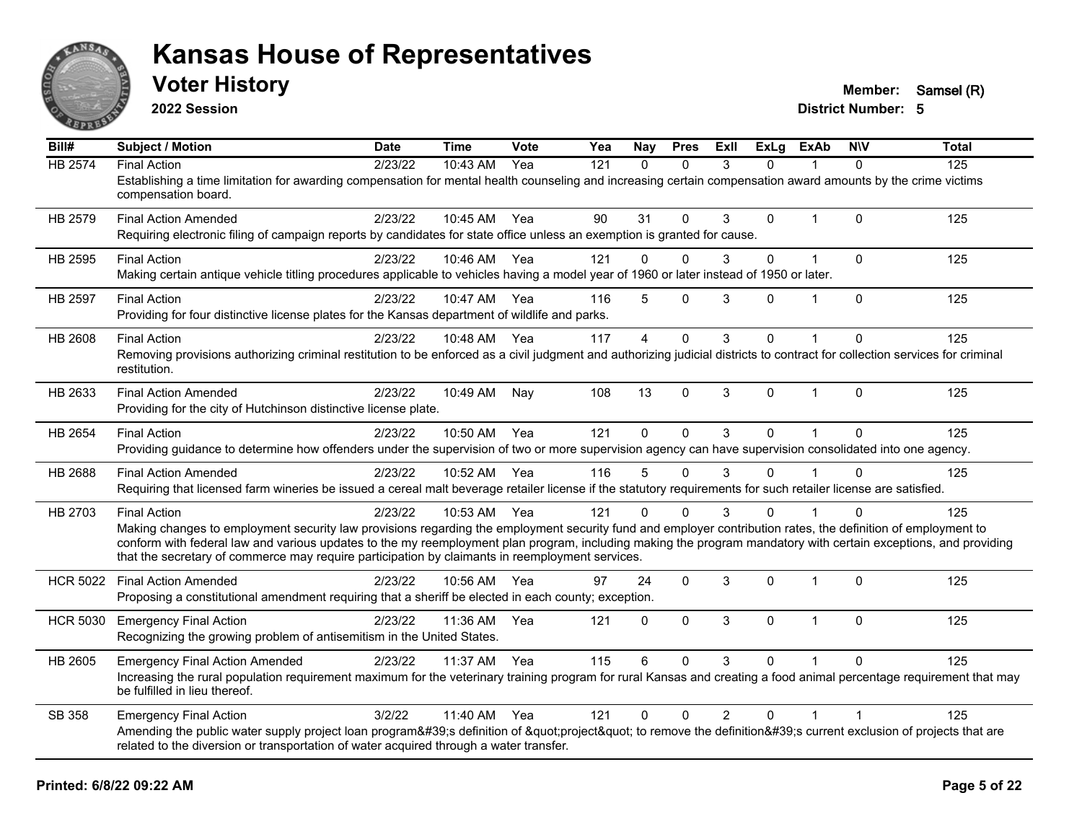

**2022 Session**

**Voter History Member:** Samsel (R)

| Bill#           | <b>Subject / Motion</b>                                                                                                                                                                                                                                                                                                                                                                                                                                   | <b>Date</b> | <b>Time</b>  | Vote | Yea | Nay          | <b>Pres</b>  | <b>ExII</b>    | <b>ExLg</b> | <b>ExAb</b>    | <b>NIV</b>  | <b>Total</b> |
|-----------------|-----------------------------------------------------------------------------------------------------------------------------------------------------------------------------------------------------------------------------------------------------------------------------------------------------------------------------------------------------------------------------------------------------------------------------------------------------------|-------------|--------------|------|-----|--------------|--------------|----------------|-------------|----------------|-------------|--------------|
| <b>HB 2574</b>  | <b>Final Action</b><br>Establishing a time limitation for awarding compensation for mental health counseling and increasing certain compensation award amounts by the crime victims<br>compensation board.                                                                                                                                                                                                                                                | 2/23/22     | 10:43 AM     | Yea  | 121 | $\Omega$     | $\mathbf{0}$ | 3              | 0           |                | $\Omega$    | 125          |
| HB 2579         | <b>Final Action Amended</b><br>Requiring electronic filing of campaign reports by candidates for state office unless an exemption is granted for cause.                                                                                                                                                                                                                                                                                                   | 2/23/22     | 10:45 AM Yea |      | 90  | 31           | $\Omega$     | 3              | 0           | $\overline{1}$ | $\Omega$    | 125          |
| HB 2595         | <b>Final Action</b><br>Making certain antique vehicle titling procedures applicable to vehicles having a model year of 1960 or later instead of 1950 or later.                                                                                                                                                                                                                                                                                            | 2/23/22     | 10:46 AM     | Yea  | 121 | $\mathbf{0}$ | $\Omega$     | 3              | 0           | $\mathbf{1}$   | $\Omega$    | 125          |
| <b>HB 2597</b>  | <b>Final Action</b><br>Providing for four distinctive license plates for the Kansas department of wildlife and parks.                                                                                                                                                                                                                                                                                                                                     | 2/23/22     | 10:47 AM     | Yea  | 116 | 5            | $\mathbf 0$  | 3              | 0           | 1              | $\mathbf 0$ | 125          |
| <b>HB 2608</b>  | <b>Final Action</b><br>Removing provisions authorizing criminal restitution to be enforced as a civil judgment and authorizing judicial districts to contract for collection services for criminal<br>restitution.                                                                                                                                                                                                                                        | 2/23/22     | 10:48 AM     | Yea  | 117 | 4            | $\mathbf 0$  | 3              | 0           |                | $\Omega$    | 125          |
| HB 2633         | <b>Final Action Amended</b><br>Providing for the city of Hutchinson distinctive license plate.                                                                                                                                                                                                                                                                                                                                                            | 2/23/22     | 10:49 AM     | Nay  | 108 | 13           | $\mathbf 0$  | 3              | 0           | 1              | $\mathbf 0$ | 125          |
| HB 2654         | <b>Final Action</b><br>Providing guidance to determine how offenders under the supervision of two or more supervision agency can have supervision consolidated into one agency.                                                                                                                                                                                                                                                                           | 2/23/22     | 10:50 AM Yea |      | 121 | $\Omega$     | $\Omega$     | 3              | $\Omega$    | $\overline{1}$ | $\Omega$    | 125          |
| <b>HB 2688</b>  | <b>Final Action Amended</b><br>Requiring that licensed farm wineries be issued a cereal malt beverage retailer license if the statutory requirements for such retailer license are satisfied.                                                                                                                                                                                                                                                             | 2/23/22     | 10:52 AM     | Yea  | 116 | 5            | $\Omega$     | 3              | 0           |                | $\mathbf 0$ | 125          |
| HB 2703         | <b>Final Action</b><br>Making changes to employment security law provisions regarding the employment security fund and employer contribution rates, the definition of employment to<br>conform with federal law and various updates to the my reemployment plan program, including making the program mandatory with certain exceptions, and providing<br>that the secretary of commerce may require participation by claimants in reemployment services. | 2/23/22     | 10:53 AM Yea |      | 121 | $\Omega$     | $\Omega$     | 3              | 0           |                | $\Omega$    | 125          |
| <b>HCR 5022</b> | <b>Final Action Amended</b><br>Proposing a constitutional amendment requiring that a sheriff be elected in each county; exception.                                                                                                                                                                                                                                                                                                                        | 2/23/22     | 10:56 AM     | Yea  | 97  | 24           | $\mathbf{0}$ | 3              | 0           | $\overline{1}$ | $\Omega$    | 125          |
| <b>HCR 5030</b> | <b>Emergency Final Action</b><br>Recognizing the growing problem of antisemitism in the United States.                                                                                                                                                                                                                                                                                                                                                    | 2/23/22     | 11:36 AM     | Yea  | 121 | $\mathbf 0$  | $\mathbf{0}$ | 3              | $\Omega$    | 1              | $\Omega$    | 125          |
| HB 2605         | <b>Emergency Final Action Amended</b><br>Increasing the rural population requirement maximum for the veterinary training program for rural Kansas and creating a food animal percentage requirement that may<br>be fulfilled in lieu thereof.                                                                                                                                                                                                             | 2/23/22     | 11:37 AM     | Yea  | 115 | 6            | $\Omega$     | 3              | $\Omega$    |                | $\Omega$    | 125          |
| SB 358          | <b>Emergency Final Action</b><br>Amending the public water supply project loan program's definition of "project" to remove the definition's current exclusion of projects that are<br>related to the diversion or transportation of water acquired through a water transfer.                                                                                                                                                                              | 3/2/22      | 11:40 AM     | Yea  | 121 | $\Omega$     | $\mathbf{0}$ | $\overline{2}$ | 0           | $\overline{1}$ |             | 125          |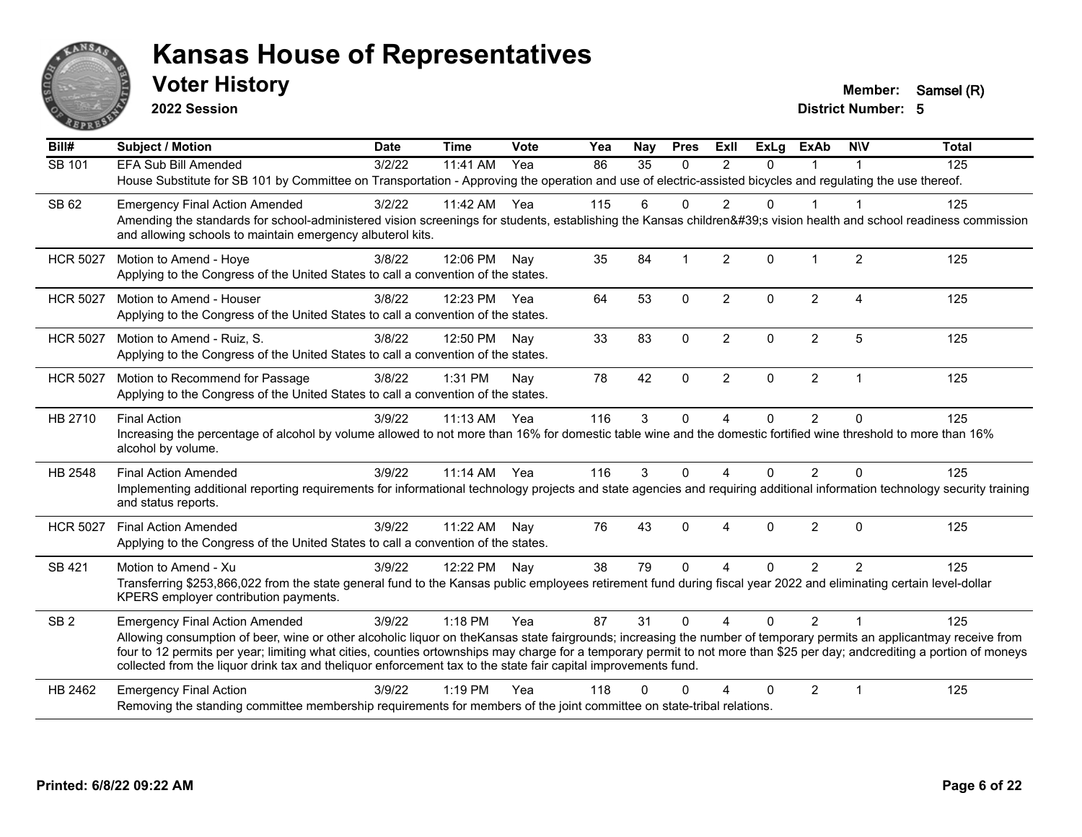

**2022 Session**

**Voter History Member:** Samsel (R)

| Bill#           | <b>Subject / Motion</b>                                                                                                                                                                                                                                                                                                                                                                                                                                              | <b>Date</b> | <b>Time</b> | Vote | Yea | Nay             | <b>Pres</b>             | <b>ExII</b>    | <b>ExLg</b> | <b>ExAb</b>    | <b>NIV</b>     | <b>Total</b> |
|-----------------|----------------------------------------------------------------------------------------------------------------------------------------------------------------------------------------------------------------------------------------------------------------------------------------------------------------------------------------------------------------------------------------------------------------------------------------------------------------------|-------------|-------------|------|-----|-----------------|-------------------------|----------------|-------------|----------------|----------------|--------------|
| SB 101          | <b>EFA Sub Bill Amended</b>                                                                                                                                                                                                                                                                                                                                                                                                                                          | 3/2/22      | 11:41 AM    | Yea  | 86  | $\overline{35}$ | $\mathbf{0}$            | 2              | $\Omega$    | $\mathbf 1$    | $\mathbf 1$    | 125          |
|                 | House Substitute for SB 101 by Committee on Transportation - Approving the operation and use of electric-assisted bicycles and regulating the use thereof.                                                                                                                                                                                                                                                                                                           |             |             |      |     |                 |                         |                |             |                |                |              |
| SB 62           | <b>Emergency Final Action Amended</b>                                                                                                                                                                                                                                                                                                                                                                                                                                | 3/2/22      | 11:42 AM    | Yea  | 115 | 6               | $\Omega$                | $\mathfrak{p}$ | $\Omega$    |                |                | 125          |
|                 | Amending the standards for school-administered vision screenings for students, establishing the Kansas children's vision health and school readiness commission<br>and allowing schools to maintain emergency albuterol kits.                                                                                                                                                                                                                                        |             |             |      |     |                 |                         |                |             |                |                |              |
| <b>HCR 5027</b> | Motion to Amend - Hoye<br>Applying to the Congress of the United States to call a convention of the states.                                                                                                                                                                                                                                                                                                                                                          | 3/8/22      | 12:06 PM    | Nav  | 35  | 84              | $\overline{\mathbf{1}}$ | $\overline{2}$ | 0           | $\mathbf 1$    | $\overline{2}$ | 125          |
| <b>HCR 5027</b> | Motion to Amend - Houser                                                                                                                                                                                                                                                                                                                                                                                                                                             | 3/8/22      | 12:23 PM    | Yea  | 64  | 53              | $\mathbf{0}$            | $\overline{2}$ | $\Omega$    | $\overline{2}$ | $\overline{4}$ | 125          |
|                 | Applying to the Congress of the United States to call a convention of the states.                                                                                                                                                                                                                                                                                                                                                                                    |             |             |      |     |                 |                         |                |             |                |                |              |
| <b>HCR 5027</b> | Motion to Amend - Ruiz, S.                                                                                                                                                                                                                                                                                                                                                                                                                                           | 3/8/22      | 12:50 PM    | Nay  | 33  | 83              | $\mathbf{0}$            | $\overline{2}$ | $\Omega$    | $\overline{2}$ | 5              | 125          |
|                 | Applying to the Congress of the United States to call a convention of the states.                                                                                                                                                                                                                                                                                                                                                                                    |             |             |      |     |                 |                         |                |             |                |                |              |
| <b>HCR 5027</b> | Motion to Recommend for Passage                                                                                                                                                                                                                                                                                                                                                                                                                                      | 3/8/22      | 1:31 PM     | Nay  | 78  | 42              | $\mathbf 0$             | $\overline{2}$ | 0           | $\overline{2}$ | $\overline{1}$ | 125          |
|                 | Applying to the Congress of the United States to call a convention of the states.                                                                                                                                                                                                                                                                                                                                                                                    |             |             |      |     |                 |                         |                |             |                |                |              |
| HB 2710         | <b>Final Action</b>                                                                                                                                                                                                                                                                                                                                                                                                                                                  | 3/9/22      | 11:13 AM    | Yea  | 116 | 3               | $\mathbf 0$             | 4              | 0           | $\overline{2}$ | $\mathbf{0}$   | 125          |
|                 | Increasing the percentage of alcohol by volume allowed to not more than 16% for domestic table wine and the domestic fortified wine threshold to more than 16%<br>alcohol by volume.                                                                                                                                                                                                                                                                                 |             |             |      |     |                 |                         |                |             |                |                |              |
| HB 2548         | <b>Final Action Amended</b>                                                                                                                                                                                                                                                                                                                                                                                                                                          | 3/9/22      | $11:14$ AM  | Yea  | 116 | 3               | $\Omega$                | 4              | $\Omega$    | 2              | $\Omega$       | 125          |
|                 | Implementing additional reporting requirements for informational technology projects and state agencies and requiring additional information technology security training<br>and status reports.                                                                                                                                                                                                                                                                     |             |             |      |     |                 |                         |                |             |                |                |              |
| <b>HCR 5027</b> | <b>Final Action Amended</b>                                                                                                                                                                                                                                                                                                                                                                                                                                          | 3/9/22      | 11:22 AM    | Nay  | 76  | 43              | $\Omega$                | 4              | $\Omega$    | $\overline{2}$ | $\Omega$       | 125          |
|                 | Applying to the Congress of the United States to call a convention of the states.                                                                                                                                                                                                                                                                                                                                                                                    |             |             |      |     |                 |                         |                |             |                |                |              |
| SB 421          | Motion to Amend - Xu                                                                                                                                                                                                                                                                                                                                                                                                                                                 | 3/9/22      | 12:22 PM    | Nay  | 38  | 79              | $\Omega$                | 4              | $\Omega$    | 2              | $\overline{2}$ | 125          |
|                 | Transferring \$253,866,022 from the state general fund to the Kansas public employees retirement fund during fiscal year 2022 and eliminating certain level-dollar<br>KPERS employer contribution payments.                                                                                                                                                                                                                                                          |             |             |      |     |                 |                         |                |             |                |                |              |
| SB <sub>2</sub> | <b>Emergency Final Action Amended</b>                                                                                                                                                                                                                                                                                                                                                                                                                                | 3/9/22      | 1:18 PM     | Yea  | 87  | 31              | $\Omega$                | $\overline{A}$ | $\Omega$    | $\overline{2}$ |                | 125          |
|                 | Allowing consumption of beer, wine or other alcoholic liquor on the Kansas state fairgrounds; increasing the number of temporary permits an applicantmay receive from<br>four to 12 permits per year; limiting what cities, counties ortownships may charge for a temporary permit to not more than \$25 per day; andcrediting a portion of moneys<br>collected from the liquor drink tax and theliquor enforcement tax to the state fair capital improvements fund. |             |             |      |     |                 |                         |                |             |                |                |              |
| HB 2462         | <b>Emergency Final Action</b>                                                                                                                                                                                                                                                                                                                                                                                                                                        | 3/9/22      | $1:19$ PM   | Yea  | 118 | ∩               | ∩                       |                | 0           | 2              | -1             | 125          |
|                 | Removing the standing committee membership requirements for members of the joint committee on state-tribal relations.                                                                                                                                                                                                                                                                                                                                                |             |             |      |     |                 |                         |                |             |                |                |              |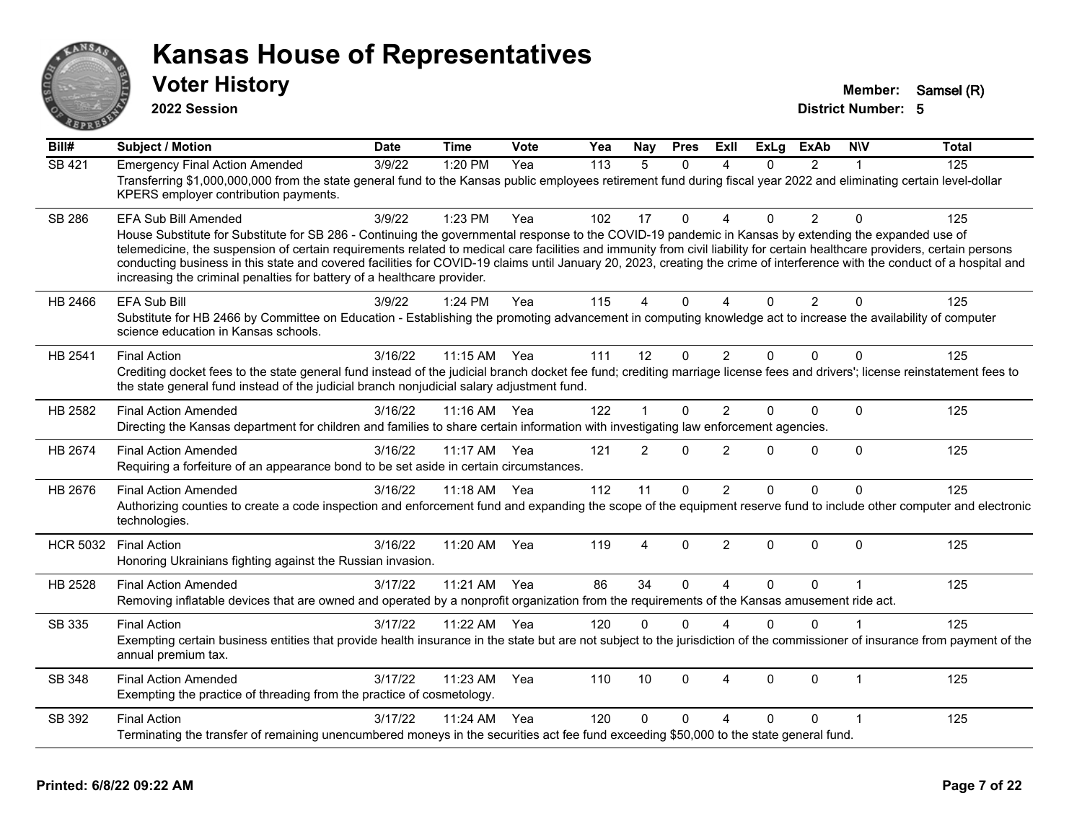

**2022 Session**

**Voter History Member:** Samsel (R)

| Bill#           | <b>Subject / Motion</b>                                                                                                                                                                                                                                                                                                                                                                                                                                                                                                                                                                       | <b>Date</b> | <b>Time</b>  | <b>Vote</b> | Yea | Nay      | <b>Pres</b> | ExII                   | <b>ExLg</b> | <b>ExAb</b>    | <b>NIV</b>   | <b>Total</b> |
|-----------------|-----------------------------------------------------------------------------------------------------------------------------------------------------------------------------------------------------------------------------------------------------------------------------------------------------------------------------------------------------------------------------------------------------------------------------------------------------------------------------------------------------------------------------------------------------------------------------------------------|-------------|--------------|-------------|-----|----------|-------------|------------------------|-------------|----------------|--------------|--------------|
| <b>SB 421</b>   | <b>Emergency Final Action Amended</b>                                                                                                                                                                                                                                                                                                                                                                                                                                                                                                                                                         | 3/9/22      | 1:20 PM      | Yea         | 113 | 5        | $\Omega$    | Δ                      | $\Omega$    | $\overline{2}$ | 1            | 125          |
|                 | Transferring \$1,000,000,000 from the state general fund to the Kansas public employees retirement fund during fiscal year 2022 and eliminating certain level-dollar<br>KPERS employer contribution payments.                                                                                                                                                                                                                                                                                                                                                                                 |             |              |             |     |          |             |                        |             |                |              |              |
| SB 286          | EFA Sub Bill Amended                                                                                                                                                                                                                                                                                                                                                                                                                                                                                                                                                                          | 3/9/22      | 1:23 PM      | Yea         | 102 | 17       | $\Omega$    | $\boldsymbol{\Lambda}$ | $\Omega$    | 2              | $\Omega$     | 125          |
|                 | House Substitute for Substitute for SB 286 - Continuing the governmental response to the COVID-19 pandemic in Kansas by extending the expanded use of<br>telemedicine, the suspension of certain requirements related to medical care facilities and immunity from civil liability for certain healthcare providers, certain persons<br>conducting business in this state and covered facilities for COVID-19 claims until January 20, 2023, creating the crime of interference with the conduct of a hospital and<br>increasing the criminal penalties for battery of a healthcare provider. |             |              |             |     |          |             |                        |             |                |              |              |
| HB 2466         | EFA Sub Bill                                                                                                                                                                                                                                                                                                                                                                                                                                                                                                                                                                                  | 3/9/22      | 1:24 PM      | Yea         | 115 | 4        | 0           | $\Delta$               | $\Omega$    | $\overline{2}$ | $\mathbf 0$  | 125          |
|                 | Substitute for HB 2466 by Committee on Education - Establishing the promoting advancement in computing knowledge act to increase the availability of computer<br>science education in Kansas schools.                                                                                                                                                                                                                                                                                                                                                                                         |             |              |             |     |          |             |                        |             |                |              |              |
| HB 2541         | <b>Final Action</b>                                                                                                                                                                                                                                                                                                                                                                                                                                                                                                                                                                           | 3/16/22     | 11:15 AM Yea |             | 111 | 12       | $\mathbf 0$ | $\overline{2}$         | $\Omega$    | $\Omega$       | $\Omega$     | 125          |
|                 | Crediting docket fees to the state general fund instead of the judicial branch docket fee fund; crediting marriage license fees and drivers'; license reinstatement fees to<br>the state general fund instead of the judicial branch nonjudicial salary adjustment fund.                                                                                                                                                                                                                                                                                                                      |             |              |             |     |          |             |                        |             |                |              |              |
| HB 2582         | <b>Final Action Amended</b>                                                                                                                                                                                                                                                                                                                                                                                                                                                                                                                                                                   | 3/16/22     | 11:16 AM Yea |             | 122 |          | 0           | $\overline{2}$         | $\Omega$    | $\Omega$       | $\mathbf{0}$ | 125          |
|                 | Directing the Kansas department for children and families to share certain information with investigating law enforcement agencies.                                                                                                                                                                                                                                                                                                                                                                                                                                                           |             |              |             |     |          |             |                        |             |                |              |              |
| HB 2674         | <b>Final Action Amended</b><br>Requiring a forfeiture of an appearance bond to be set aside in certain circumstances.                                                                                                                                                                                                                                                                                                                                                                                                                                                                         | 3/16/22     | 11:17 AM     | Yea         | 121 | 2        | 0           | $\overline{2}$         | $\Omega$    | $\Omega$       | $\Omega$     | 125          |
| HB 2676         | <b>Final Action Amended</b>                                                                                                                                                                                                                                                                                                                                                                                                                                                                                                                                                                   | 3/16/22     | 11:18 AM Yea |             | 112 | 11       | 0           | 2                      | $\Omega$    | $\Omega$       | $\Omega$     | 125          |
|                 | Authorizing counties to create a code inspection and enforcement fund and expanding the scope of the equipment reserve fund to include other computer and electronic<br>technologies.                                                                                                                                                                                                                                                                                                                                                                                                         |             |              |             |     |          |             |                        |             |                |              |              |
| <b>HCR 5032</b> | <b>Final Action</b>                                                                                                                                                                                                                                                                                                                                                                                                                                                                                                                                                                           | 3/16/22     | 11:20 AM     | Yea         | 119 | 4        | 0           | $\overline{2}$         | $\Omega$    | 0              | $\mathbf 0$  | 125          |
|                 | Honoring Ukrainians fighting against the Russian invasion.                                                                                                                                                                                                                                                                                                                                                                                                                                                                                                                                    |             |              |             |     |          |             |                        |             |                |              |              |
| HB 2528         | <b>Final Action Amended</b>                                                                                                                                                                                                                                                                                                                                                                                                                                                                                                                                                                   | 3/17/22     | 11:21 AM Yea |             | 86  | 34       | $\Omega$    | $\boldsymbol{\Lambda}$ | $\Omega$    | $\Omega$       | 1            | 125          |
|                 | Removing inflatable devices that are owned and operated by a nonprofit organization from the requirements of the Kansas amusement ride act.                                                                                                                                                                                                                                                                                                                                                                                                                                                   |             |              |             |     |          |             |                        |             |                |              |              |
| SB 335          | <b>Final Action</b>                                                                                                                                                                                                                                                                                                                                                                                                                                                                                                                                                                           | 3/17/22     | 11:22 AM Yea |             | 120 | $\Omega$ | $\Omega$    | $\Delta$               | $\Omega$    | $\Omega$       | 1            | 125          |
|                 | Exempting certain business entities that provide health insurance in the state but are not subject to the jurisdiction of the commissioner of insurance from payment of the<br>annual premium tax.                                                                                                                                                                                                                                                                                                                                                                                            |             |              |             |     |          |             |                        |             |                |              |              |
| SB 348          | <b>Final Action Amended</b>                                                                                                                                                                                                                                                                                                                                                                                                                                                                                                                                                                   | 3/17/22     | 11:23 AM     | Yea         | 110 | 10       | 0           | $\overline{4}$         | $\Omega$    | $\Omega$       | 1            | 125          |
|                 | Exempting the practice of threading from the practice of cosmetology.                                                                                                                                                                                                                                                                                                                                                                                                                                                                                                                         |             |              |             |     |          |             |                        |             |                |              |              |
| SB 392          | <b>Final Action</b>                                                                                                                                                                                                                                                                                                                                                                                                                                                                                                                                                                           | 3/17/22     | 11:24 AM     | Yea         | 120 | $\Omega$ | 0           | $\Delta$               | $\Omega$    | 0              |              | 125          |
|                 | Terminating the transfer of remaining unencumbered moneys in the securities act fee fund exceeding \$50,000 to the state general fund.                                                                                                                                                                                                                                                                                                                                                                                                                                                        |             |              |             |     |          |             |                        |             |                |              |              |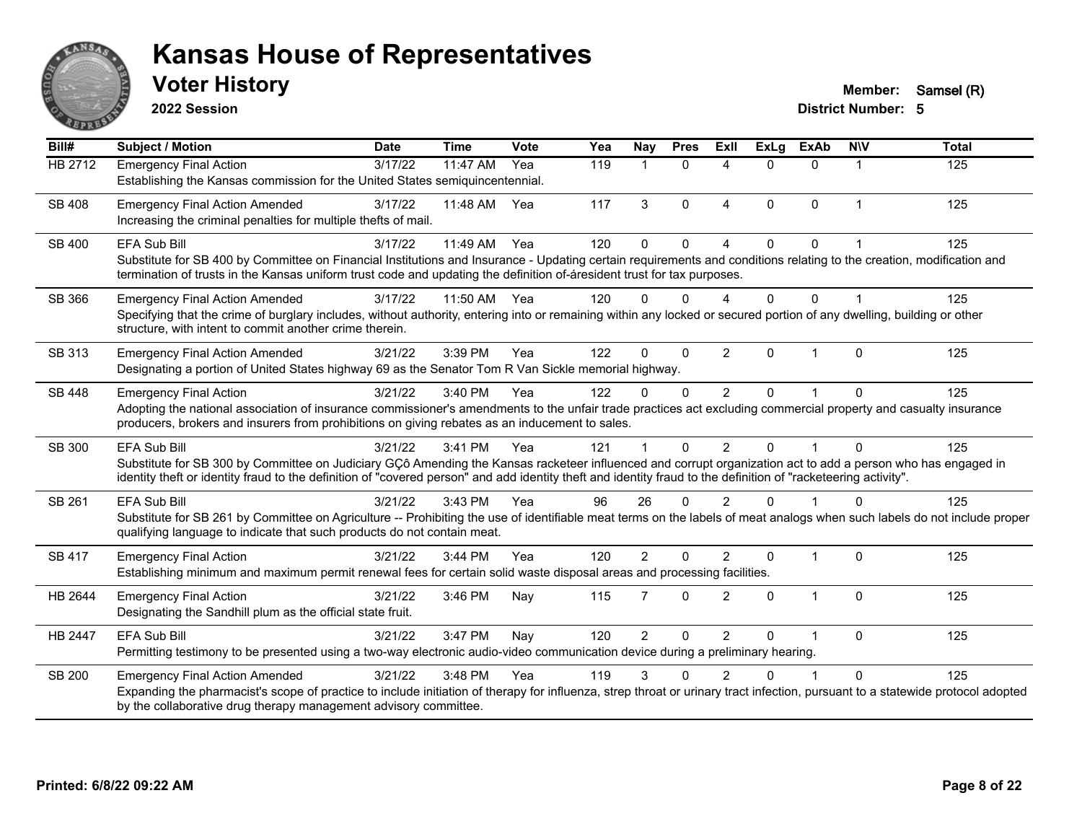

**2022 Session**

**Voter History Member:** Samsel (R)

| Bill#          | <b>Subject / Motion</b>                                                                                                                                                                                                                                                                                                                               | <b>Date</b> | <b>Time</b> | Vote | Yea | Nay            | <b>Pres</b> | ExII                     | <b>ExLg</b> | <b>ExAb</b> | <b>NIV</b>   | <b>Total</b> |
|----------------|-------------------------------------------------------------------------------------------------------------------------------------------------------------------------------------------------------------------------------------------------------------------------------------------------------------------------------------------------------|-------------|-------------|------|-----|----------------|-------------|--------------------------|-------------|-------------|--------------|--------------|
| <b>HB 2712</b> | <b>Emergency Final Action</b><br>Establishing the Kansas commission for the United States semiquincentennial.                                                                                                                                                                                                                                         | 3/17/22     | 11:47 AM    | Yea  | 119 | 1              | $\Omega$    | $\boldsymbol{\varDelta}$ | $\Omega$    | $\Omega$    |              | 125          |
| SB 408         | <b>Emergency Final Action Amended</b><br>Increasing the criminal penalties for multiple thefts of mail.                                                                                                                                                                                                                                               | 3/17/22     | 11:48 AM    | Yea  | 117 | 3              | $\Omega$    | $\overline{4}$           | $\Omega$    | $\Omega$    | $\mathbf{1}$ | 125          |
| SB 400         | <b>EFA Sub Bill</b><br>Substitute for SB 400 by Committee on Financial Institutions and Insurance - Updating certain requirements and conditions relating to the creation, modification and<br>termination of trusts in the Kansas uniform trust code and updating the definition of-áresident trust for tax purposes.                                | 3/17/22     | $11:49$ AM  | Yea  | 120 | $\Omega$       | $\Omega$    | $\Lambda$                | $\Omega$    | $\Omega$    |              | 125          |
| SB 366         | <b>Emergency Final Action Amended</b><br>Specifying that the crime of burglary includes, without authority, entering into or remaining within any locked or secured portion of any dwelling, building or other<br>structure, with intent to commit another crime therein.                                                                             | 3/17/22     | 11:50 AM    | Yea  | 120 | 0              | $\Omega$    | $\Delta$                 | $\Omega$    | $\Omega$    |              | 125          |
| SB 313         | <b>Emergency Final Action Amended</b><br>Designating a portion of United States highway 69 as the Senator Tom R Van Sickle memorial highway.                                                                                                                                                                                                          | 3/21/22     | 3:39 PM     | Yea  | 122 | 0              | $\Omega$    | $\overline{2}$           | $\Omega$    |             | $\Omega$     | 125          |
| <b>SB 448</b>  | <b>Emergency Final Action</b><br>Adopting the national association of insurance commissioner's amendments to the unfair trade practices act excluding commercial property and casualty insurance<br>producers, brokers and insurers from prohibitions on giving rebates as an inducement to sales.                                                    | 3/21/22     | 3:40 PM     | Yea  | 122 | 0              | $\Omega$    | 2                        | $\Omega$    |             | $\Omega$     | 125          |
| SB 300         | <b>EFA Sub Bill</b><br>Substitute for SB 300 by Committee on Judiciary GÇô Amending the Kansas racketeer influenced and corrupt organization act to add a person who has engaged in<br>identity theft or identity fraud to the definition of "covered person" and add identity theft and identity fraud to the definition of "racketeering activity". | 3/21/22     | 3:41 PM     | Yea  | 121 |                | $\Omega$    | 2                        | $\Omega$    |             | $\Omega$     | 125          |
| SB 261         | <b>EFA Sub Bill</b><br>Substitute for SB 261 by Committee on Agriculture -- Prohibiting the use of identifiable meat terms on the labels of meat analogs when such labels do not include proper<br>qualifying language to indicate that such products do not contain meat.                                                                            | 3/21/22     | 3:43 PM     | Yea  | 96  | 26             | $\Omega$    | $\mathfrak{p}$           | $\Omega$    |             | $\Omega$     | 125          |
| <b>SB 417</b>  | <b>Emergency Final Action</b><br>Establishing minimum and maximum permit renewal fees for certain solid waste disposal areas and processing facilities.                                                                                                                                                                                               | 3/21/22     | 3:44 PM     | Yea  | 120 | $\overline{2}$ | $\Omega$    | $\mathfrak{p}$           | $\Omega$    | $\mathbf 1$ | $\Omega$     | 125          |
| HB 2644        | <b>Emergency Final Action</b><br>Designating the Sandhill plum as the official state fruit.                                                                                                                                                                                                                                                           | 3/21/22     | 3:46 PM     | Nay  | 115 | 7              | $\Omega$    | $\overline{2}$           | $\Omega$    | $\mathbf 1$ | $\Omega$     | 125          |
| HB 2447        | <b>EFA Sub Bill</b><br>Permitting testimony to be presented using a two-way electronic audio-video communication device during a preliminary hearing.                                                                                                                                                                                                 | 3/21/22     | 3:47 PM     | Nay  | 120 | $\overline{2}$ | $\Omega$    | $\overline{2}$           | 0           |             | $\Omega$     | 125          |
| <b>SB 200</b>  | <b>Emergency Final Action Amended</b><br>Expanding the pharmacist's scope of practice to include initiation of therapy for influenza, strep throat or urinary tract infection, pursuant to a statewide protocol adopted<br>by the collaborative drug therapy management advisory committee.                                                           | 3/21/22     | 3:48 PM     | Yea  | 119 | 3              | ∩           | 2                        | U           |             | $\Omega$     | 125          |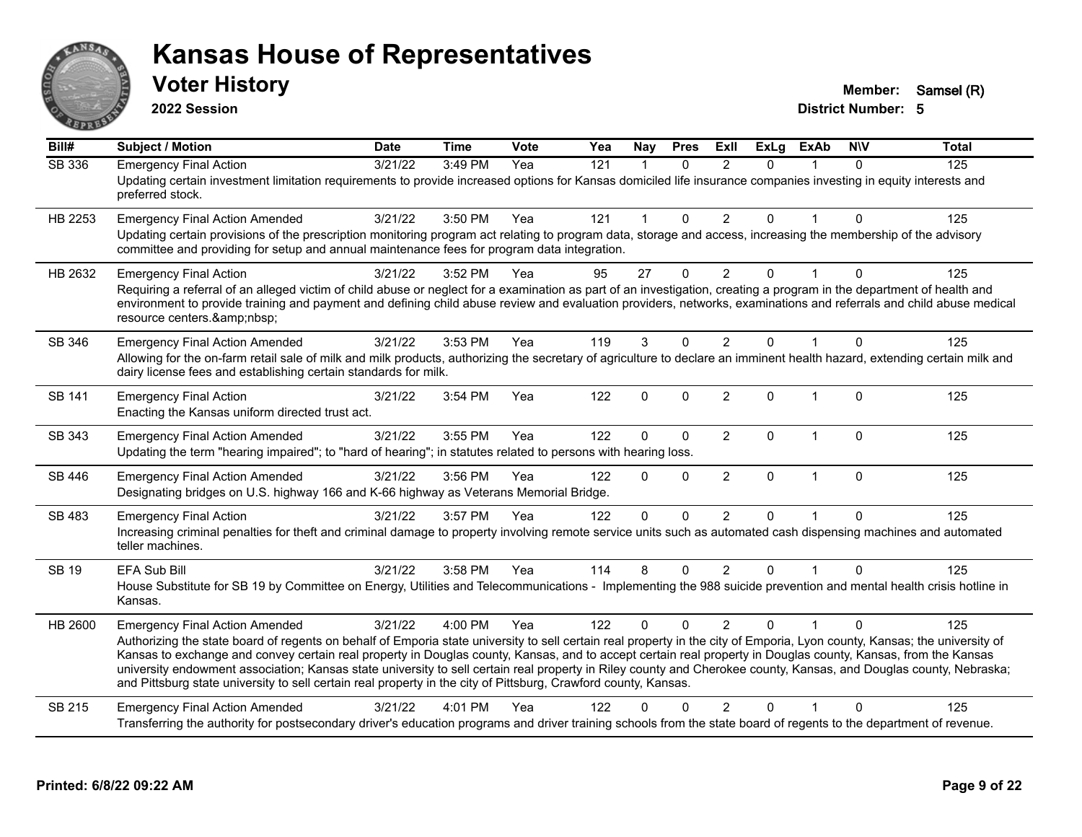

**2022 Session**

**Voter History Member:** Samsel (R)

| $\overline{BiII#}$ | <b>Subject / Motion</b>                                                                                                                                                                                                                                                                                                                                                                                                                                                                                                                                                                                                                                                      | <b>Date</b> | <b>Time</b> | <b>Vote</b> | Yea              | Nay          | <b>Pres</b>  | <b>Exll</b>    | $\overline{ExLg}$ | <b>ExAb</b>  | <b>NIV</b>   | <b>Total</b> |
|--------------------|------------------------------------------------------------------------------------------------------------------------------------------------------------------------------------------------------------------------------------------------------------------------------------------------------------------------------------------------------------------------------------------------------------------------------------------------------------------------------------------------------------------------------------------------------------------------------------------------------------------------------------------------------------------------------|-------------|-------------|-------------|------------------|--------------|--------------|----------------|-------------------|--------------|--------------|--------------|
| <b>SB 336</b>      | <b>Emergency Final Action</b><br>Updating certain investment limitation requirements to provide increased options for Kansas domiciled life insurance companies investing in equity interests and<br>preferred stock.                                                                                                                                                                                                                                                                                                                                                                                                                                                        | 3/21/22     | 3:49 PM     | Yea         | $\overline{121}$ | $\mathbf{1}$ | $\mathbf{0}$ | 2              | $\Omega$          |              | $\Omega$     | 125          |
| HB 2253            | <b>Emergency Final Action Amended</b><br>Updating certain provisions of the prescription monitoring program act relating to program data, storage and access, increasing the membership of the advisory<br>committee and providing for setup and annual maintenance fees for program data integration.                                                                                                                                                                                                                                                                                                                                                                       | 3/21/22     | 3:50 PM     | Yea         | 121              | $\mathbf{1}$ | $\mathbf 0$  | $\overline{2}$ | $\Omega$          | $\mathbf{1}$ | $\Omega$     | 125          |
| HB 2632            | <b>Emergency Final Action</b><br>Requiring a referral of an alleged victim of child abuse or neglect for a examination as part of an investigation, creating a program in the department of health and<br>environment to provide training and payment and defining child abuse review and evaluation providers, networks, examinations and referrals and child abuse medical<br>resource centers.                                                                                                                                                                                                                                                                            | 3/21/22     | 3:52 PM     | Yea         | 95               | 27           | $\mathbf{0}$ | $\overline{2}$ | 0                 |              | 0            | 125          |
| SB 346             | <b>Emergency Final Action Amended</b><br>Allowing for the on-farm retail sale of milk and milk products, authorizing the secretary of agriculture to declare an imminent health hazard, extending certain milk and<br>dairy license fees and establishing certain standards for milk.                                                                                                                                                                                                                                                                                                                                                                                        | 3/21/22     | 3:53 PM     | Yea         | 119              | 3            | $\Omega$     | $\overline{2}$ | $\Omega$          |              | $\Omega$     | 125          |
| SB 141             | <b>Emergency Final Action</b><br>Enacting the Kansas uniform directed trust act.                                                                                                                                                                                                                                                                                                                                                                                                                                                                                                                                                                                             | 3/21/22     | 3:54 PM     | Yea         | 122              | $\Omega$     | $\Omega$     | 2              | $\Omega$          | $\mathbf{1}$ | $\Omega$     | 125          |
| SB 343             | <b>Emergency Final Action Amended</b><br>Updating the term "hearing impaired"; to "hard of hearing"; in statutes related to persons with hearing loss.                                                                                                                                                                                                                                                                                                                                                                                                                                                                                                                       | 3/21/22     | 3:55 PM     | Yea         | 122              | $\mathbf{0}$ | $\mathbf 0$  | $\overline{2}$ | 0                 | $\mathbf{1}$ | $\Omega$     | 125          |
| SB 446             | <b>Emergency Final Action Amended</b><br>Designating bridges on U.S. highway 166 and K-66 highway as Veterans Memorial Bridge.                                                                                                                                                                                                                                                                                                                                                                                                                                                                                                                                               | 3/21/22     | 3:56 PM     | Yea         | 122              | $\Omega$     | $\Omega$     | $\overline{2}$ | $\mathbf{0}$      | $\mathbf{1}$ | $\mathbf{0}$ | 125          |
| SB 483             | <b>Emergency Final Action</b><br>Increasing criminal penalties for theft and criminal damage to property involving remote service units such as automated cash dispensing machines and automated<br>teller machines.                                                                                                                                                                                                                                                                                                                                                                                                                                                         | 3/21/22     | 3:57 PM     | Yea         | 122              | $\Omega$     | $\Omega$     | 2              | $\Omega$          | 1            | $\Omega$     | 125          |
| <b>SB 19</b>       | EFA Sub Bill<br>House Substitute for SB 19 by Committee on Energy, Utilities and Telecommunications - Implementing the 988 suicide prevention and mental health crisis hotline in<br>Kansas.                                                                                                                                                                                                                                                                                                                                                                                                                                                                                 | 3/21/22     | 3:58 PM     | Yea         | 114              | 8            | $\mathbf{0}$ | $\overline{2}$ | $\Omega$          |              | $\Omega$     | 125          |
| HB 2600            | <b>Emergency Final Action Amended</b><br>Authorizing the state board of regents on behalf of Emporia state university to sell certain real property in the city of Emporia, Lyon county, Kansas; the university of<br>Kansas to exchange and convey certain real property in Douglas county, Kansas, and to accept certain real property in Douglas county, Kansas, from the Kansas<br>university endowment association; Kansas state university to sell certain real property in Riley county and Cherokee county, Kansas, and Douglas county, Nebraska;<br>and Pittsburg state university to sell certain real property in the city of Pittsburg, Crawford county, Kansas. | 3/21/22     | 4:00 PM     | Yea         | 122              | $\Omega$     | $\Omega$     | 2              | $\Omega$          |              | $\Omega$     | 125          |
| SB 215             | <b>Emergency Final Action Amended</b><br>Transferring the authority for postsecondary driver's education programs and driver training schools from the state board of regents to the department of revenue.                                                                                                                                                                                                                                                                                                                                                                                                                                                                  | 3/21/22     | 4:01 PM     | Yea         | 122              | n            | U            | $\mathcal{P}$  | 0                 |              | $\Omega$     | 125          |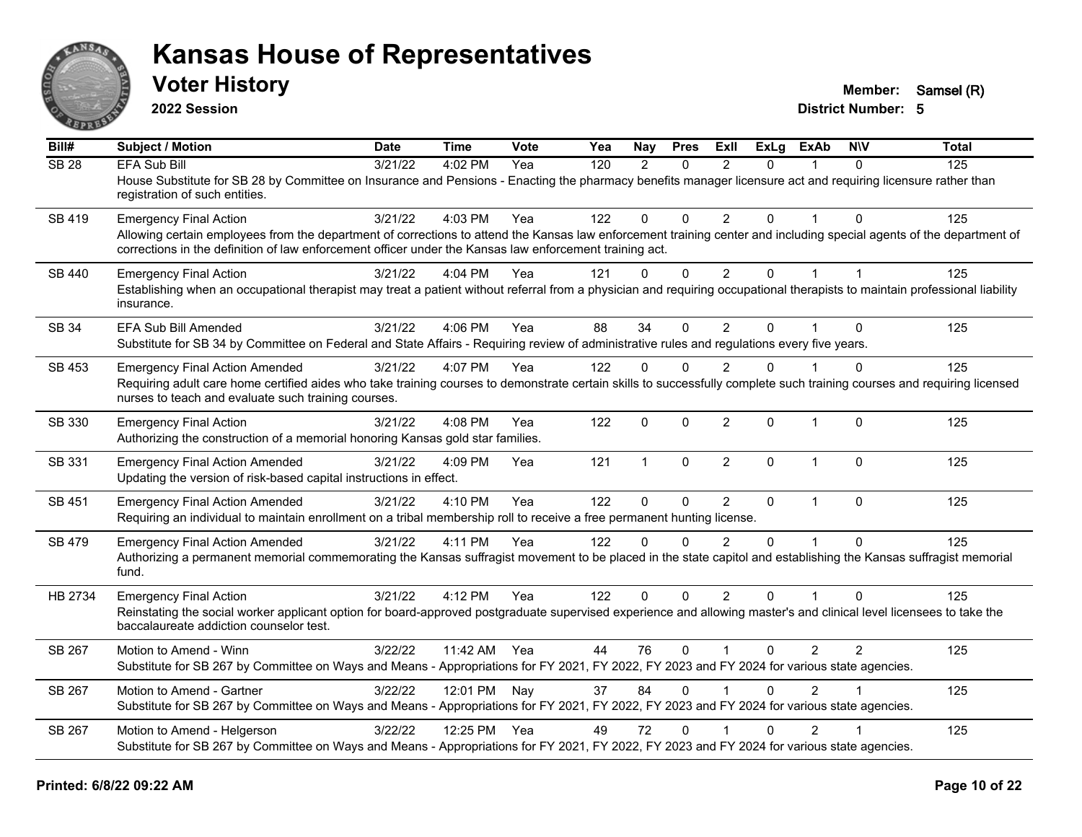

**2022 Session**

**Voter History Member:** Samsel (R)

| Bill#         | Subject / Motion                                                                                                                                                                                                                                                                                                 | <b>Date</b> | Time         | Vote | Yea | Nay           | <b>Pres</b>  | <b>ExII</b>             | <b>ExLg</b>    | <b>ExAb</b>    | <b>NIV</b>     | <b>Total</b> |
|---------------|------------------------------------------------------------------------------------------------------------------------------------------------------------------------------------------------------------------------------------------------------------------------------------------------------------------|-------------|--------------|------|-----|---------------|--------------|-------------------------|----------------|----------------|----------------|--------------|
| <b>SB 28</b>  | <b>EFA Sub Bill</b><br>House Substitute for SB 28 by Committee on Insurance and Pensions - Enacting the pharmacy benefits manager licensure act and requiring licensure rather than<br>registration of such entities.                                                                                            | 3/21/22     | 4:02 PM      | Yea  | 120 | $\mathcal{P}$ | $\Omega$     | $\mathfrak{p}$          | $\Omega$       |                | $\Omega$       | 125          |
| SB 419        | <b>Emergency Final Action</b><br>Allowing certain employees from the department of corrections to attend the Kansas law enforcement training center and including special agents of the department of<br>corrections in the definition of law enforcement officer under the Kansas law enforcement training act. | 3/21/22     | 4:03 PM      | Yea  | 122 | 0             | $\mathbf{0}$ | 2                       | $\Omega$       |                | $\Omega$       | 125          |
| <b>SB 440</b> | <b>Emergency Final Action</b><br>Establishing when an occupational therapist may treat a patient without referral from a physician and requiring occupational therapists to maintain professional liability<br>insurance.                                                                                        | 3/21/22     | 4:04 PM      | Yea  | 121 | $\mathbf{0}$  | $\mathbf 0$  | $\overline{2}$          | $\overline{0}$ | $\mathbf{1}$   | $\mathbf{1}$   | 125          |
| SB 34         | <b>EFA Sub Bill Amended</b><br>Substitute for SB 34 by Committee on Federal and State Affairs - Requiring review of administrative rules and regulations every five years.                                                                                                                                       | 3/21/22     | $4:06$ PM    | Yea  | 88  | 34            | $\mathbf{0}$ | $\overline{2}$          | 0              |                | $\Omega$       | 125          |
| SB 453        | <b>Emergency Final Action Amended</b><br>Requiring adult care home certified aides who take training courses to demonstrate certain skills to successfully complete such training courses and requiring licensed<br>nurses to teach and evaluate such training courses.                                          | 3/21/22     | 4:07 PM      | Yea  | 122 | $\mathbf 0$   | $\Omega$     | $\overline{2}$          | 0              |                | 0              | 125          |
| SB 330        | <b>Emergency Final Action</b><br>Authorizing the construction of a memorial honoring Kansas gold star families.                                                                                                                                                                                                  | 3/21/22     | 4:08 PM      | Yea  | 122 | $\mathbf 0$   | $\mathbf 0$  | $\overline{2}$          | 0              | $\mathbf{1}$   | $\mathbf 0$    | 125          |
| SB 331        | <b>Emergency Final Action Amended</b><br>Updating the version of risk-based capital instructions in effect.                                                                                                                                                                                                      | 3/21/22     | 4:09 PM      | Yea  | 121 | $\mathbf{1}$  | $\mathbf{0}$ | $\overline{2}$          | $\Omega$       | $\overline{1}$ | $\Omega$       | 125          |
| SB 451        | <b>Emergency Final Action Amended</b><br>Requiring an individual to maintain enrollment on a tribal membership roll to receive a free permanent hunting license.                                                                                                                                                 | 3/21/22     | 4:10 PM      | Yea  | 122 | $\mathbf 0$   | $\mathbf 0$  | $\overline{2}$          | $\Omega$       | $\mathbf{1}$   | $\Omega$       | 125          |
| SB 479        | <b>Emergency Final Action Amended</b><br>Authorizing a permanent memorial commemorating the Kansas suffragist movement to be placed in the state capitol and establishing the Kansas suffragist memorial<br>fund.                                                                                                | 3/21/22     | 4:11 PM      | Yea  | 122 | $\Omega$      | $\Omega$     | $\mathfrak{p}$          | $\Omega$       |                | $\Omega$       | 125          |
| HB 2734       | <b>Emergency Final Action</b><br>Reinstating the social worker applicant option for board-approved postgraduate supervised experience and allowing master's and clinical level licensees to take the<br>baccalaureate addiction counselor test.                                                                  | 3/21/22     | 4:12 PM      | Yea  | 122 | $\mathbf{0}$  | $\mathbf{0}$ | 2                       | $\Omega$       |                | $\Omega$       | 125          |
| SB 267        | Motion to Amend - Winn<br>Substitute for SB 267 by Committee on Ways and Means - Appropriations for FY 2021, FY 2022, FY 2023 and FY 2024 for various state agencies.                                                                                                                                            | 3/22/22     | 11:42 AM     | Yea  | 44  | 76            | $\mathbf{0}$ | $\overline{\mathbf{1}}$ | 0              | $\overline{2}$ | $\overline{2}$ | 125          |
| SB 267        | Motion to Amend - Gartner<br>Substitute for SB 267 by Committee on Ways and Means - Appropriations for FY 2021, FY 2022, FY 2023 and FY 2024 for various state agencies.                                                                                                                                         | 3/22/22     | 12:01 PM Nay |      | 37  | 84            | $\Omega$     |                         | $\Omega$       | $\mathcal{P}$  |                | 125          |
| SB 267        | Motion to Amend - Helgerson<br>Substitute for SB 267 by Committee on Ways and Means - Appropriations for FY 2021, FY 2022, FY 2023 and FY 2024 for various state agencies.                                                                                                                                       | 3/22/22     | 12:25 PM Yea |      | 49  | 72            | $\mathbf{0}$ |                         | $\Omega$       | $\overline{2}$ |                | 125          |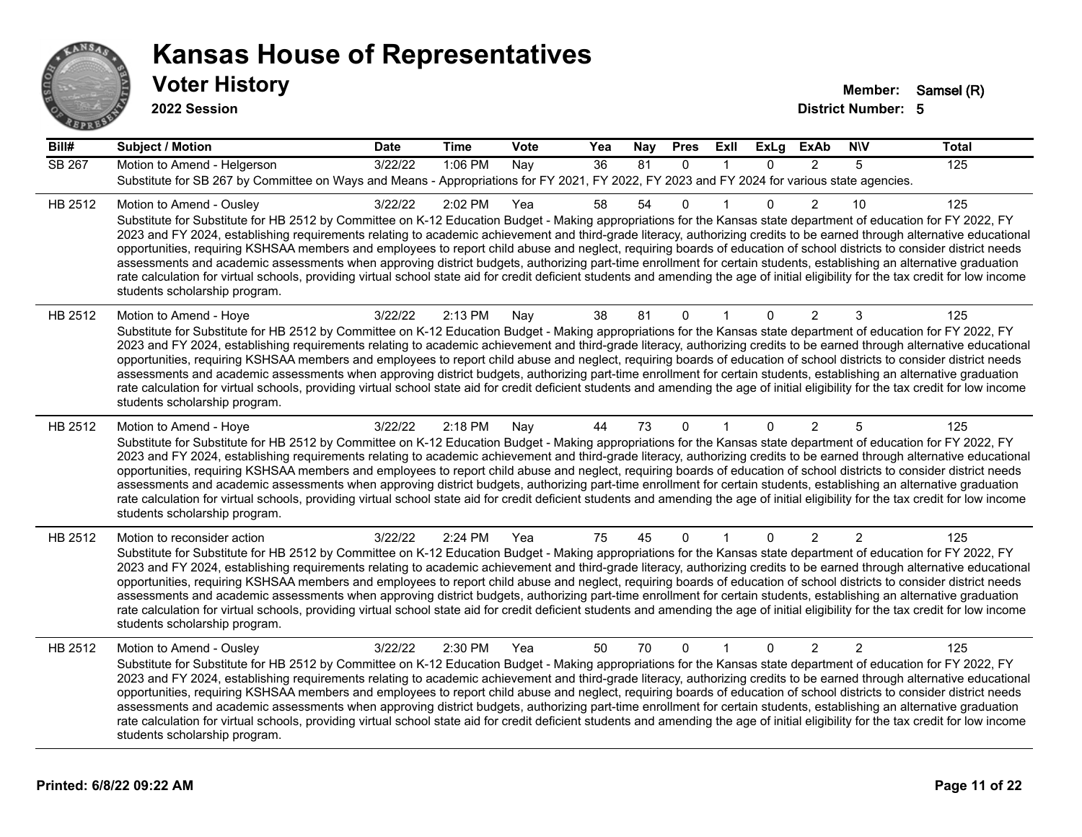

**2022 Session**

| Bill#         | <b>Subject / Motion</b>                                                                                                                                                                                                                                                                                                                                                                                                                                                                                                                                                                                                                                                                                                                                                                                                                                                                                                                             | <b>Date</b> | <b>Time</b> | Vote | Yea | Nay | <b>Pres</b>  | ExII         | <b>ExLg</b> | <b>ExAb</b>    | <b>NIV</b>     | <b>Total</b> |
|---------------|-----------------------------------------------------------------------------------------------------------------------------------------------------------------------------------------------------------------------------------------------------------------------------------------------------------------------------------------------------------------------------------------------------------------------------------------------------------------------------------------------------------------------------------------------------------------------------------------------------------------------------------------------------------------------------------------------------------------------------------------------------------------------------------------------------------------------------------------------------------------------------------------------------------------------------------------------------|-------------|-------------|------|-----|-----|--------------|--------------|-------------|----------------|----------------|--------------|
| <b>SB 267</b> | Motion to Amend - Helgerson                                                                                                                                                                                                                                                                                                                                                                                                                                                                                                                                                                                                                                                                                                                                                                                                                                                                                                                         | 3/22/22     | 1:06 PM     | Nay  | 36  | 81  | $\mathbf{0}$ |              | $\Omega$    | 2              | 5              | 125          |
|               | Substitute for SB 267 by Committee on Ways and Means - Appropriations for FY 2021, FY 2022, FY 2023 and FY 2024 for various state agencies.                                                                                                                                                                                                                                                                                                                                                                                                                                                                                                                                                                                                                                                                                                                                                                                                         |             |             |      |     |     |              |              |             |                |                |              |
| HB 2512       | Motion to Amend - Ousley<br>Substitute for Substitute for HB 2512 by Committee on K-12 Education Budget - Making appropriations for the Kansas state department of education for FY 2022, FY<br>2023 and FY 2024, establishing requirements relating to academic achievement and third-grade literacy, authorizing credits to be earned through alternative educational<br>opportunities, requiring KSHSAA members and employees to report child abuse and neglect, requiring boards of education of school districts to consider district needs<br>assessments and academic assessments when approving district budgets, authorizing part-time enrollment for certain students, establishing an alternative graduation<br>rate calculation for virtual schools, providing virtual school state aid for credit deficient students and amending the age of initial eligibility for the tax credit for low income<br>students scholarship program.    | 3/22/22     | 2:02 PM     | Yea  | 58  | 54  | $\mathbf{0}$ |              | $\Omega$    | $\mathcal{P}$  | 10             | 125          |
| HB 2512       | Motion to Amend - Hoye<br>Substitute for Substitute for HB 2512 by Committee on K-12 Education Budget - Making appropriations for the Kansas state department of education for FY 2022, FY<br>2023 and FY 2024, establishing requirements relating to academic achievement and third-grade literacy, authorizing credits to be earned through alternative educational<br>opportunities, requiring KSHSAA members and employees to report child abuse and neglect, requiring boards of education of school districts to consider district needs<br>assessments and academic assessments when approving district budgets, authorizing part-time enrollment for certain students, establishing an alternative graduation<br>rate calculation for virtual schools, providing virtual school state aid for credit deficient students and amending the age of initial eligibility for the tax credit for low income<br>students scholarship program.      | 3/22/22     | 2:13 PM     | Nay  | 38  | 81  | $\mathbf 0$  | 1            | 0           | 2              | 3              | 125          |
| HB 2512       | Motion to Amend - Hoye<br>Substitute for Substitute for HB 2512 by Committee on K-12 Education Budget - Making appropriations for the Kansas state department of education for FY 2022, FY<br>2023 and FY 2024, establishing requirements relating to academic achievement and third-grade literacy, authorizing credits to be earned through alternative educational<br>opportunities, requiring KSHSAA members and employees to report child abuse and neglect, requiring boards of education of school districts to consider district needs<br>assessments and academic assessments when approving district budgets, authorizing part-time enrollment for certain students, establishing an alternative graduation<br>rate calculation for virtual schools, providing virtual school state aid for credit deficient students and amending the age of initial eligibility for the tax credit for low income<br>students scholarship program.      | 3/22/22     | 2:18 PM     | Nay  | 44  | 73  | $\Omega$     |              | 0           | $\overline{2}$ | 5              | 125          |
| HB 2512       | Motion to reconsider action<br>Substitute for Substitute for HB 2512 by Committee on K-12 Education Budget - Making appropriations for the Kansas state department of education for FY 2022, FY<br>2023 and FY 2024, establishing requirements relating to academic achievement and third-grade literacy, authorizing credits to be earned through alternative educational<br>opportunities, requiring KSHSAA members and employees to report child abuse and neglect, requiring boards of education of school districts to consider district needs<br>assessments and academic assessments when approving district budgets, authorizing part-time enrollment for certain students, establishing an alternative graduation<br>rate calculation for virtual schools, providing virtual school state aid for credit deficient students and amending the age of initial eligibility for the tax credit for low income<br>students scholarship program. | 3/22/22     | 2:24 PM     | Yea  | 75  | 45  | $\mathbf{0}$ | $\mathbf{1}$ | $\Omega$    | 2              | 2              | 125          |
| HB 2512       | Motion to Amend - Ousley<br>Substitute for Substitute for HB 2512 by Committee on K-12 Education Budget - Making appropriations for the Kansas state department of education for FY 2022, FY<br>2023 and FY 2024, establishing requirements relating to academic achievement and third-grade literacy, authorizing credits to be earned through alternative educational<br>opportunities, requiring KSHSAA members and employees to report child abuse and neglect, requiring boards of education of school districts to consider district needs<br>assessments and academic assessments when approving district budgets, authorizing part-time enrollment for certain students, establishing an alternative graduation<br>rate calculation for virtual schools, providing virtual school state aid for credit deficient students and amending the age of initial eligibility for the tax credit for low income<br>students scholarship program.    | 3/22/22     | 2:30 PM     | Yea  | 50  | 70  | $\mathbf{0}$ | $\mathbf{1}$ | $\Omega$    | 2              | $\overline{2}$ | 125          |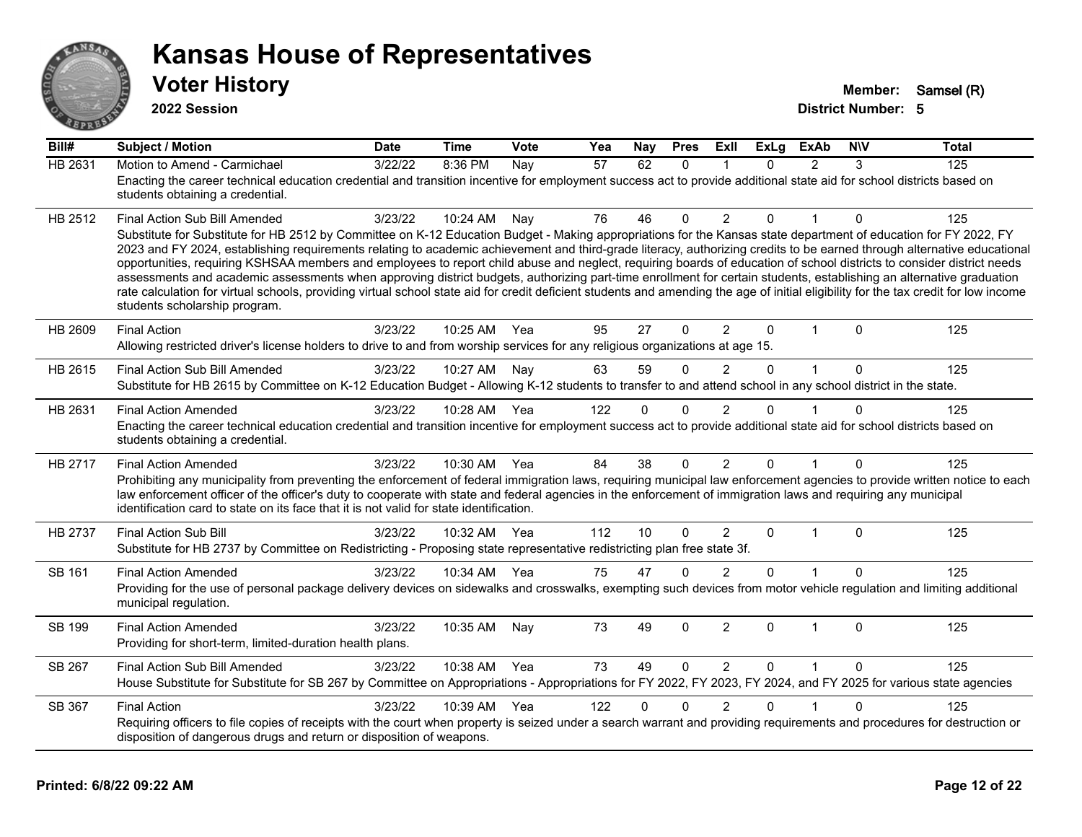

**2022 Session**

| $\overline{Bill#}$ | <b>Subject / Motion</b>                                                                                                                                                                                                                                                                                                                                                                                                                                                                                                                                                                                                                                                                                                                                                                                                                                                                                                                               | <b>Date</b> | <b>Time</b>  | Vote | Yea | Nay      | <b>Pres</b> | ExIl           | <b>ExLg</b>  | <b>ExAb</b>    | <b>NIV</b>   | <b>Total</b> |
|--------------------|-------------------------------------------------------------------------------------------------------------------------------------------------------------------------------------------------------------------------------------------------------------------------------------------------------------------------------------------------------------------------------------------------------------------------------------------------------------------------------------------------------------------------------------------------------------------------------------------------------------------------------------------------------------------------------------------------------------------------------------------------------------------------------------------------------------------------------------------------------------------------------------------------------------------------------------------------------|-------------|--------------|------|-----|----------|-------------|----------------|--------------|----------------|--------------|--------------|
| HB 2631            | Motion to Amend - Carmichael<br>Enacting the career technical education credential and transition incentive for employment success act to provide additional state aid for school districts based on<br>students obtaining a credential.                                                                                                                                                                                                                                                                                                                                                                                                                                                                                                                                                                                                                                                                                                              | 3/22/22     | 8:36 PM      | Nay  | 57  | 62       | $\Omega$    | 1              | $\Omega$     | $\mathcal{P}$  | 3            | 125          |
| HB 2512            | Final Action Sub Bill Amended<br>Substitute for Substitute for HB 2512 by Committee on K-12 Education Budget - Making appropriations for the Kansas state department of education for FY 2022, FY<br>2023 and FY 2024, establishing requirements relating to academic achievement and third-grade literacy, authorizing credits to be earned through alternative educational<br>opportunities, requiring KSHSAA members and employees to report child abuse and neglect, requiring boards of education of school districts to consider district needs<br>assessments and academic assessments when approving district budgets, authorizing part-time enrollment for certain students, establishing an alternative graduation<br>rate calculation for virtual schools, providing virtual school state aid for credit deficient students and amending the age of initial eligibility for the tax credit for low income<br>students scholarship program. | 3/23/22     | 10:24 AM     | Nay  | 76  | 46       | $\Omega$    | $\overline{2}$ | 0            |                | $\Omega$     | 125          |
| HB 2609            | <b>Final Action</b><br>Allowing restricted driver's license holders to drive to and from worship services for any religious organizations at age 15.                                                                                                                                                                                                                                                                                                                                                                                                                                                                                                                                                                                                                                                                                                                                                                                                  | 3/23/22     | 10:25 AM Yea |      | 95  | 27       | $\Omega$    | $\overline{2}$ | $\Omega$     | $\overline{1}$ | $\mathbf{0}$ | 125          |
| HB 2615            | Final Action Sub Bill Amended<br>Substitute for HB 2615 by Committee on K-12 Education Budget - Allowing K-12 students to transfer to and attend school in any school district in the state.                                                                                                                                                                                                                                                                                                                                                                                                                                                                                                                                                                                                                                                                                                                                                          | 3/23/22     | 10:27 AM     | Nay  | 63  | 59       | $\Omega$    | $\overline{2}$ | $\Omega$     | $\mathbf{1}$   | 0            | 125          |
| HB 2631            | <b>Final Action Amended</b><br>Enacting the career technical education credential and transition incentive for employment success act to provide additional state aid for school districts based on<br>students obtaining a credential.                                                                                                                                                                                                                                                                                                                                                                                                                                                                                                                                                                                                                                                                                                               | 3/23/22     | 10:28 AM     | Yea  | 122 | $\Omega$ | 0           | $\overline{2}$ | 0            |                | 0            | 125          |
| HB 2717            | <b>Final Action Amended</b><br>Prohibiting any municipality from preventing the enforcement of federal immigration laws, requiring municipal law enforcement agencies to provide written notice to each<br>law enforcement officer of the officer's duty to cooperate with state and federal agencies in the enforcement of immigration laws and requiring any municipal<br>identification card to state on its face that it is not valid for state identification.                                                                                                                                                                                                                                                                                                                                                                                                                                                                                   | 3/23/22     | 10:30 AM     | Yea  | 84  | 38       | $\Omega$    | $\overline{2}$ | $\Omega$     | $\overline{ }$ | $\mathbf{0}$ | 125          |
| HB 2737            | <b>Final Action Sub Bill</b><br>Substitute for HB 2737 by Committee on Redistricting - Proposing state representative redistricting plan free state 3f.                                                                                                                                                                                                                                                                                                                                                                                                                                                                                                                                                                                                                                                                                                                                                                                               | 3/23/22     | 10:32 AM     | Yea  | 112 | 10       | $\Omega$    | $\overline{2}$ | $\Omega$     | 1              | $\Omega$     | 125          |
| SB 161             | <b>Final Action Amended</b><br>Providing for the use of personal package delivery devices on sidewalks and crosswalks, exempting such devices from motor vehicle regulation and limiting additional<br>municipal regulation.                                                                                                                                                                                                                                                                                                                                                                                                                                                                                                                                                                                                                                                                                                                          | 3/23/22     | 10:34 AM     | Yea  | 75  | 47       | $\Omega$    | $\mathfrak{p}$ | $\Omega$     |                | $\Omega$     | 125          |
| SB 199             | <b>Final Action Amended</b><br>Providing for short-term, limited-duration health plans.                                                                                                                                                                                                                                                                                                                                                                                                                                                                                                                                                                                                                                                                                                                                                                                                                                                               | 3/23/22     | 10:35 AM     | Nay  | 73  | 49       | 0           | $\overline{2}$ | $\mathbf{0}$ | $\overline{1}$ | $\mathbf{0}$ | 125          |
| SB 267             | Final Action Sub Bill Amended<br>House Substitute for Substitute for SB 267 by Committee on Appropriations - Appropriations for FY 2022, FY 2023, FY 2024, and FY 2025 for various state agencies                                                                                                                                                                                                                                                                                                                                                                                                                                                                                                                                                                                                                                                                                                                                                     | 3/23/22     | 10:38 AM     | Yea  | 73  | 49       | $\Omega$    | 2              | $\Omega$     | $\mathbf{1}$   | $\Omega$     | 125          |
| SB 367             | <b>Final Action</b><br>Requiring officers to file copies of receipts with the court when property is seized under a search warrant and providing requirements and procedures for destruction or<br>disposition of dangerous drugs and return or disposition of weapons.                                                                                                                                                                                                                                                                                                                                                                                                                                                                                                                                                                                                                                                                               | 3/23/22     | 10:39 AM     | Yea  | 122 | $\Omega$ | 0           | $\overline{2}$ | $\Omega$     |                | $\mathbf{0}$ | 125          |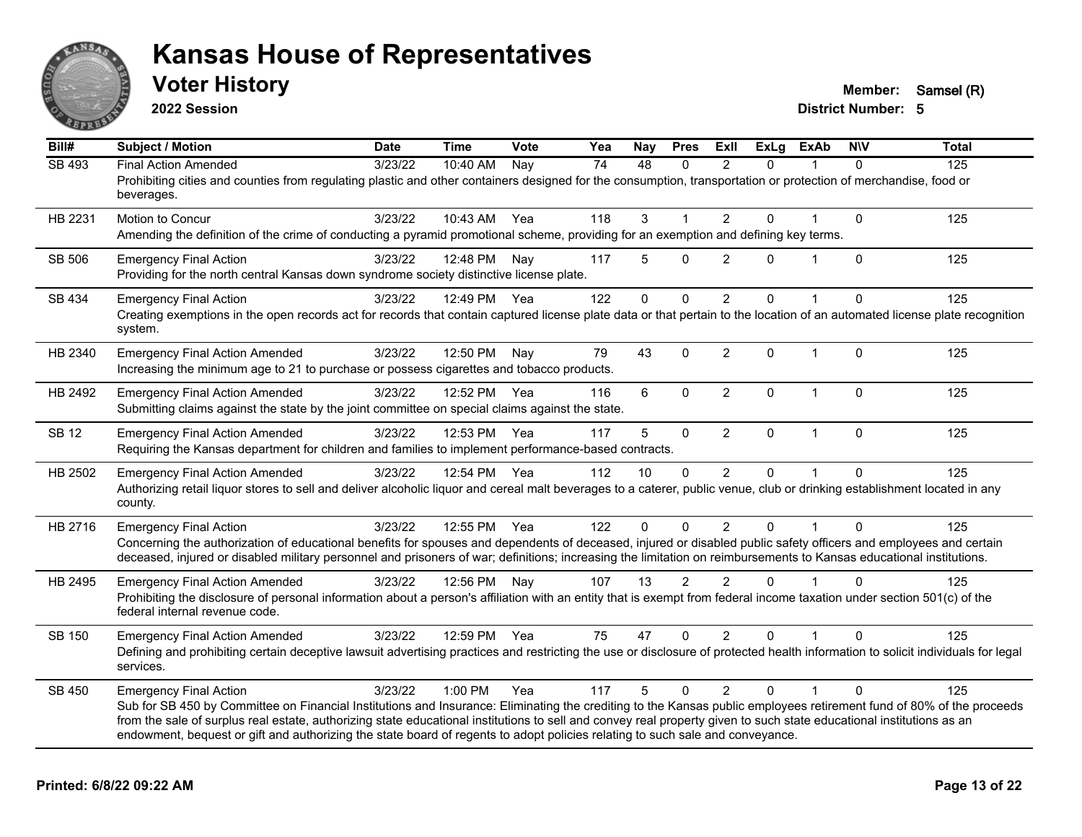

**2022 Session**

**Voter History Member:** Samsel (R)

| Bill#         | <b>Subject / Motion</b>                                                                                                                                                                                                                                                                                                                                                                                                                                                                                        | <b>Date</b> | <b>Time</b>  | Vote | Yea | Nay      | <b>Pres</b>    | ExII           | <b>ExLg</b> | <b>ExAb</b>  | <b>NIV</b>   | <b>Total</b> |
|---------------|----------------------------------------------------------------------------------------------------------------------------------------------------------------------------------------------------------------------------------------------------------------------------------------------------------------------------------------------------------------------------------------------------------------------------------------------------------------------------------------------------------------|-------------|--------------|------|-----|----------|----------------|----------------|-------------|--------------|--------------|--------------|
| <b>SB 493</b> | <b>Final Action Amended</b><br>Prohibiting cities and counties from regulating plastic and other containers designed for the consumption, transportation or protection of merchandise, food or<br>beverages.                                                                                                                                                                                                                                                                                                   | 3/23/22     | 10:40 AM     | Nay  | 74  | 48       | $\Omega$       | $\mathfrak{p}$ | $\Omega$    |              | $\Omega$     | 125          |
| HB 2231       | Motion to Concur<br>Amending the definition of the crime of conducting a pyramid promotional scheme, providing for an exemption and defining key terms.                                                                                                                                                                                                                                                                                                                                                        | 3/23/22     | 10:43 AM     | Yea  | 118 | 3        |                | $\overline{2}$ | $\Omega$    |              | $\mathbf{0}$ | 125          |
| <b>SB 506</b> | <b>Emergency Final Action</b><br>Providing for the north central Kansas down syndrome society distinctive license plate.                                                                                                                                                                                                                                                                                                                                                                                       | 3/23/22     | 12:48 PM     | Nav  | 117 | 5        | $\Omega$       | 2              | $\Omega$    | 1            | $\mathbf{0}$ | 125          |
| SB 434        | <b>Emergency Final Action</b><br>Creating exemptions in the open records act for records that contain captured license plate data or that pertain to the location of an automated license plate recognition<br>system.                                                                                                                                                                                                                                                                                         | 3/23/22     | 12:49 PM Yea |      | 122 | $\Omega$ | $\Omega$       | 2              | $\Omega$    |              | $\Omega$     | 125          |
| HB 2340       | <b>Emergency Final Action Amended</b><br>Increasing the minimum age to 21 to purchase or possess cigarettes and tobacco products.                                                                                                                                                                                                                                                                                                                                                                              | 3/23/22     | 12:50 PM     | Nay  | 79  | 43       | $\Omega$       | 2              | $\Omega$    | $\mathbf{1}$ | $\Omega$     | 125          |
| HB 2492       | <b>Emergency Final Action Amended</b><br>Submitting claims against the state by the joint committee on special claims against the state.                                                                                                                                                                                                                                                                                                                                                                       | 3/23/22     | 12:52 PM     | Yea  | 116 | 6        | $\mathbf 0$    | $\overline{2}$ | 0           | $\mathbf{1}$ | $\mathbf{0}$ | 125          |
| <b>SB 12</b>  | <b>Emergency Final Action Amended</b><br>Requiring the Kansas department for children and families to implement performance-based contracts.                                                                                                                                                                                                                                                                                                                                                                   | 3/23/22     | 12:53 PM     | Yea  | 117 | 5        | 0              | $\overline{2}$ | $\Omega$    | $\mathbf{1}$ | $\mathbf{0}$ | 125          |
| HB 2502       | <b>Emergency Final Action Amended</b><br>Authorizing retail liquor stores to sell and deliver alcoholic liquor and cereal malt beverages to a caterer, public venue, club or drinking establishment located in any<br>county.                                                                                                                                                                                                                                                                                  | 3/23/22     | 12:54 PM     | Yea  | 112 | 10       | $\Omega$       | 2              | $\Omega$    |              | $\Omega$     | 125          |
| HB 2716       | <b>Emergency Final Action</b><br>Concerning the authorization of educational benefits for spouses and dependents of deceased, injured or disabled public safety officers and employees and certain<br>deceased, injured or disabled military personnel and prisoners of war; definitions; increasing the limitation on reimbursements to Kansas educational institutions.                                                                                                                                      | 3/23/22     | 12:55 PM     | Yea  | 122 | $\Omega$ | $\Omega$       | $\overline{2}$ | $\Omega$    |              | $\Omega$     | 125          |
| HB 2495       | <b>Emergency Final Action Amended</b><br>Prohibiting the disclosure of personal information about a person's affiliation with an entity that is exempt from federal income taxation under section 501(c) of the<br>federal internal revenue code.                                                                                                                                                                                                                                                              | 3/23/22     | 12:56 PM     | Nav  | 107 | 13       | $\overline{2}$ | $\mathfrak{p}$ | $\Omega$    |              | $\Omega$     | 125          |
| SB 150        | <b>Emergency Final Action Amended</b><br>Defining and prohibiting certain deceptive lawsuit advertising practices and restricting the use or disclosure of protected health information to solicit individuals for legal<br>services.                                                                                                                                                                                                                                                                          | 3/23/22     | 12:59 PM     | Yea  | 75  | 47       | $\mathbf{0}$   | $\overline{2}$ | $\Omega$    |              | $\Omega$     | 125          |
| SB 450        | <b>Emergency Final Action</b><br>Sub for SB 450 by Committee on Financial Institutions and Insurance: Eliminating the crediting to the Kansas public employees retirement fund of 80% of the proceeds<br>from the sale of surplus real estate, authorizing state educational institutions to sell and convey real property given to such state educational institutions as an<br>endowment, bequest or gift and authorizing the state board of regents to adopt policies relating to such sale and conveyance. | 3/23/22     | $1:00$ PM    | Yea  | 117 | 5        | $\Omega$       | $\mathfrak{p}$ | $\Omega$    |              | $\Omega$     | 125          |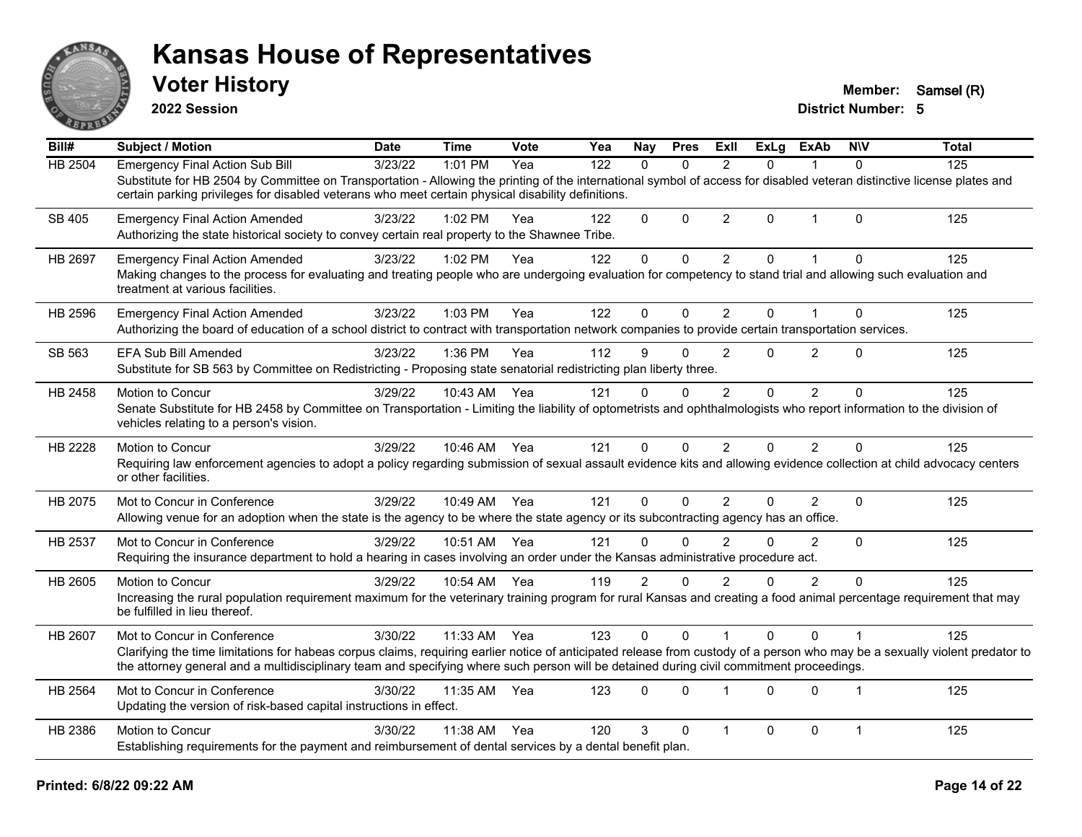

**2022 Session**

**Voter History Member:** Samsel (R)

| Bill#          | <b>Subject / Motion</b>                                                                                                                                                                                                                                                                                                  | <b>Date</b> | <b>Time</b>  | Vote | Yea | Nay            | <b>Pres</b>  | ExII           | <b>ExLg</b>  | <b>ExAb</b>    | <b>NIV</b>   | <b>Total</b> |
|----------------|--------------------------------------------------------------------------------------------------------------------------------------------------------------------------------------------------------------------------------------------------------------------------------------------------------------------------|-------------|--------------|------|-----|----------------|--------------|----------------|--------------|----------------|--------------|--------------|
| <b>HB 2504</b> | <b>Emergency Final Action Sub Bill</b>                                                                                                                                                                                                                                                                                   | 3/23/22     | 1:01 PM      | Yea  | 122 | $\Omega$       | $\Omega$     | $\overline{2}$ | $\Omega$     | 1              | $\Omega$     | 125          |
|                | Substitute for HB 2504 by Committee on Transportation - Allowing the printing of the international symbol of access for disabled veteran distinctive license plates and<br>certain parking privileges for disabled veterans who meet certain physical disability definitions.                                            |             |              |      |     |                |              |                |              |                |              |              |
| SB 405         | <b>Emergency Final Action Amended</b><br>Authorizing the state historical society to convey certain real property to the Shawnee Tribe.                                                                                                                                                                                  | 3/23/22     | $1:02$ PM    | Yea  | 122 | $\Omega$       | $\Omega$     | $\overline{2}$ | $\Omega$     | $\mathbf{1}$   | $\Omega$     | 125          |
| HB 2697        | <b>Emergency Final Action Amended</b>                                                                                                                                                                                                                                                                                    | 3/23/22     | 1:02 PM      | Yea  | 122 | $\mathbf 0$    | 0            | $\overline{2}$ | $\mathbf{0}$ | 1              | $\mathbf{0}$ | 125          |
|                | Making changes to the process for evaluating and treating people who are undergoing evaluation for competency to stand trial and allowing such evaluation and<br>treatment at various facilities.                                                                                                                        |             |              |      |     |                |              |                |              |                |              |              |
| HB 2596        | <b>Emergency Final Action Amended</b>                                                                                                                                                                                                                                                                                    | 3/23/22     | 1:03 PM      | Yea  | 122 | 0              | 0            | $\overline{2}$ | $\Omega$     | $\mathbf 1$    | $\mathbf 0$  | 125          |
|                | Authorizing the board of education of a school district to contract with transportation network companies to provide certain transportation services.                                                                                                                                                                    |             |              |      |     |                |              |                |              |                |              |              |
| SB 563         | EFA Sub Bill Amended                                                                                                                                                                                                                                                                                                     | 3/23/22     | 1:36 PM      | Yea  | 112 | 9              | $\mathbf{0}$ | 2              | $\Omega$     | $\overline{2}$ | $\mathbf{0}$ | 125          |
|                | Substitute for SB 563 by Committee on Redistricting - Proposing state senatorial redistricting plan liberty three.                                                                                                                                                                                                       |             |              |      |     |                |              |                |              |                |              |              |
| HB 2458        | Motion to Concur                                                                                                                                                                                                                                                                                                         | 3/29/22     | 10:43 AM     | Yea  | 121 | $\Omega$       | $\Omega$     | $\mathfrak{p}$ | $\Omega$     | $\overline{2}$ | $\Omega$     | 125          |
|                | Senate Substitute for HB 2458 by Committee on Transportation - Limiting the liability of optometrists and ophthalmologists who report information to the division of<br>vehicles relating to a person's vision.                                                                                                          |             |              |      |     |                |              |                |              |                |              |              |
| HB 2228        | Motion to Concur                                                                                                                                                                                                                                                                                                         | 3/29/22     | 10:46 AM Yea |      | 121 | 0              | $\Omega$     | $\overline{2}$ | $\Omega$     | $\overline{2}$ | $\Omega$     | 125          |
|                | Requiring law enforcement agencies to adopt a policy regarding submission of sexual assault evidence kits and allowing evidence collection at child advocacy centers<br>or other facilities.                                                                                                                             |             |              |      |     |                |              |                |              |                |              |              |
| HB 2075        | Mot to Concur in Conference                                                                                                                                                                                                                                                                                              | 3/29/22     | 10:49 AM     | Yea  | 121 | $\mathbf{0}$   | $\mathbf{0}$ | 2              | $\Omega$     | $\overline{2}$ | $\mathbf 0$  | 125          |
|                | Allowing venue for an adoption when the state is the agency to be where the state agency or its subcontracting agency has an office.                                                                                                                                                                                     |             |              |      |     |                |              |                |              |                |              |              |
| HB 2537        | Mot to Concur in Conference                                                                                                                                                                                                                                                                                              | 3/29/22     | 10:51 AM     | Yea  | 121 | 0              | 0            | $\overline{2}$ | $\Omega$     | $\overline{2}$ | $\mathbf{0}$ | 125          |
|                | Requiring the insurance department to hold a hearing in cases involving an order under the Kansas administrative procedure act.                                                                                                                                                                                          |             |              |      |     |                |              |                |              |                |              |              |
| HB 2605        | Motion to Concur                                                                                                                                                                                                                                                                                                         | 3/29/22     | 10:54 AM Yea |      | 119 | $\overline{2}$ | $\mathbf{0}$ | $\overline{2}$ | 0            | $\overline{2}$ | $\mathbf{0}$ | 125          |
|                | Increasing the rural population requirement maximum for the veterinary training program for rural Kansas and creating a food animal percentage requirement that may<br>be fulfilled in lieu thereof.                                                                                                                     |             |              |      |     |                |              |                |              |                |              |              |
| HB 2607        | Mot to Concur in Conference                                                                                                                                                                                                                                                                                              | 3/30/22     | 11:33 AM     | Yea  | 123 | 0              | 0            |                | $\Omega$     | $\Omega$       | $\mathbf 1$  | 125          |
|                | Clarifying the time limitations for habeas corpus claims, requiring earlier notice of anticipated release from custody of a person who may be a sexually violent predator to<br>the attorney general and a multidisciplinary team and specifying where such person will be detained during civil commitment proceedings. |             |              |      |     |                |              |                |              |                |              |              |
| HB 2564        | Mot to Concur in Conference                                                                                                                                                                                                                                                                                              | 3/30/22     | 11:35 AM     | Yea  | 123 | $\mathbf{0}$   | $\Omega$     | $\mathbf 1$    | $\Omega$     | $\Omega$       | 1            | 125          |
|                | Updating the version of risk-based capital instructions in effect.                                                                                                                                                                                                                                                       |             |              |      |     |                |              |                |              |                |              |              |
| HB 2386        | Motion to Concur                                                                                                                                                                                                                                                                                                         | 3/30/22     | 11:38 AM     | Yea  | 120 | 3              | $\Omega$     | $\mathbf{1}$   | $\Omega$     | 0              | $\mathbf{1}$ | 125          |
|                | Establishing requirements for the payment and reimbursement of dental services by a dental benefit plan.                                                                                                                                                                                                                 |             |              |      |     |                |              |                |              |                |              |              |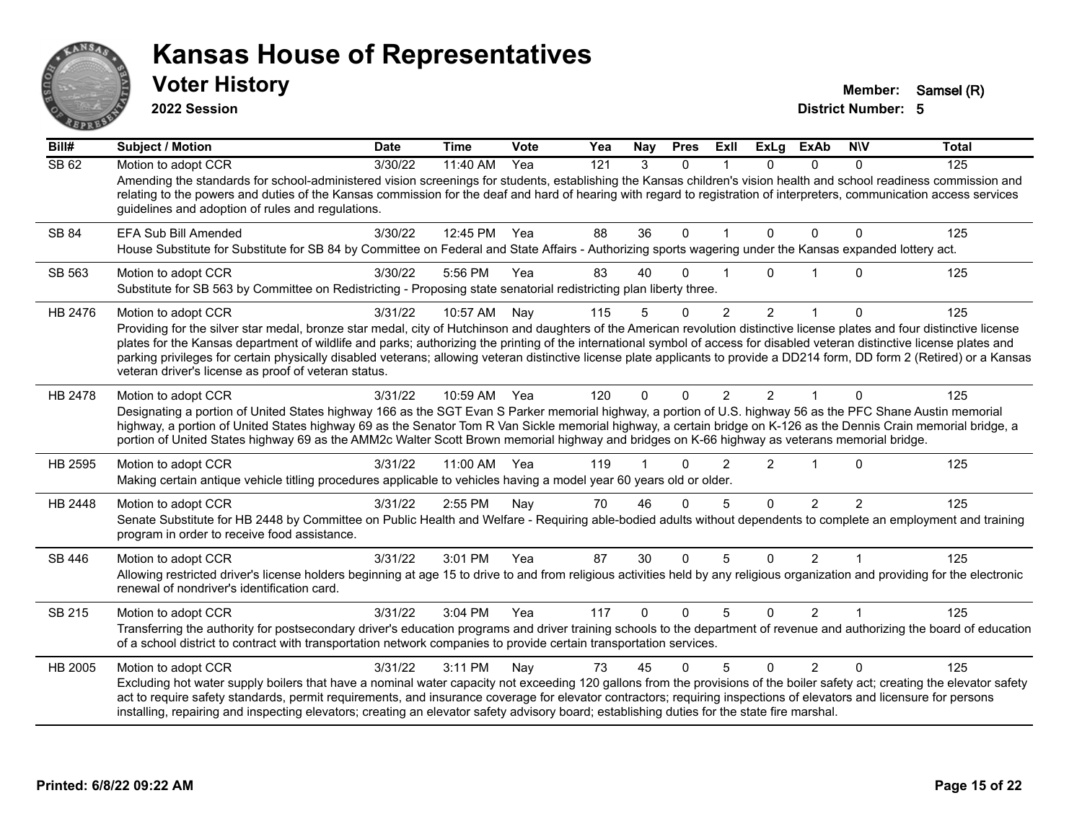

**2022 Session**

**Voter History Member:** Samsel (R)

| Bill#   | <b>Subject / Motion</b>                                                                                                                                                                                                                                                                                                                                                                                                                                                                                                                                                                                                 | <b>Date</b> | <b>Time</b> | Vote | Yea | Nay      | <b>Pres</b>  | ExII           | <b>ExLg</b>    | <b>ExAb</b>    | <b>NIV</b>    | <b>Total</b> |
|---------|-------------------------------------------------------------------------------------------------------------------------------------------------------------------------------------------------------------------------------------------------------------------------------------------------------------------------------------------------------------------------------------------------------------------------------------------------------------------------------------------------------------------------------------------------------------------------------------------------------------------------|-------------|-------------|------|-----|----------|--------------|----------------|----------------|----------------|---------------|--------------|
| SB 62   | Motion to adopt CCR<br>Amending the standards for school-administered vision screenings for students, establishing the Kansas children's vision health and school readiness commission and<br>relating to the powers and duties of the Kansas commission for the deaf and hard of hearing with regard to registration of interpreters, communication access services<br>guidelines and adoption of rules and regulations.                                                                                                                                                                                               | 3/30/22     | 11:40 AM    | Yea  | 121 | 3        | $\mathbf{0}$ |                | $\Omega$       | $\Omega$       | 0             | 125          |
| SB 84   | EFA Sub Bill Amended<br>House Substitute for Substitute for SB 84 by Committee on Federal and State Affairs - Authorizing sports wagering under the Kansas expanded lottery act.                                                                                                                                                                                                                                                                                                                                                                                                                                        | 3/30/22     | 12:45 PM    | Yea  | 88  | 36       | $\mathbf{0}$ |                | $\Omega$       | $\Omega$       | $\Omega$      | 125          |
| SB 563  | Motion to adopt CCR<br>Substitute for SB 563 by Committee on Redistricting - Proposing state senatorial redistricting plan liberty three.                                                                                                                                                                                                                                                                                                                                                                                                                                                                               | 3/30/22     | 5:56 PM     | Yea  | 83  | 40       | O            |                | 0              |                | 0             | 125          |
| HB 2476 | Motion to adopt CCR<br>Providing for the silver star medal, bronze star medal, city of Hutchinson and daughters of the American revolution distinctive license plates and four distinctive license<br>plates for the Kansas department of wildlife and parks; authorizing the printing of the international symbol of access for disabled veteran distinctive license plates and<br>parking privileges for certain physically disabled veterans; allowing veteran distinctive license plate applicants to provide a DD214 form, DD form 2 (Retired) or a Kansas<br>veteran driver's license as proof of veteran status. | 3/31/22     | 10:57 AM    | Nay  | 115 | 5        | $\mathbf{0}$ | $\overline{2}$ | 2              | $\mathbf{1}$   | 0             | 125          |
| HB 2478 | Motion to adopt CCR<br>Designating a portion of United States highway 166 as the SGT Evan S Parker memorial highway, a portion of U.S. highway 56 as the PFC Shane Austin memorial<br>highway, a portion of United States highway 69 as the Senator Tom R Van Sickle memorial highway, a certain bridge on K-126 as the Dennis Crain memorial bridge, a<br>portion of United States highway 69 as the AMM2c Walter Scott Brown memorial highway and bridges on K-66 highway as veterans memorial bridge.                                                                                                                | 3/31/22     | 10:59 AM    | Yea  | 120 | $\Omega$ | $\Omega$     | $\mathcal{P}$  | $\mathcal{P}$  |                | $\Omega$      | 125          |
| HB 2595 | Motion to adopt CCR<br>Making certain antique vehicle titling procedures applicable to vehicles having a model year 60 years old or older.                                                                                                                                                                                                                                                                                                                                                                                                                                                                              | 3/31/22     | 11:00 AM    | Yea  | 119 |          | ∩            | 2              | $\overline{2}$ | $\overline{1}$ | $\Omega$      | 125          |
| HB 2448 | Motion to adopt CCR<br>Senate Substitute for HB 2448 by Committee on Public Health and Welfare - Requiring able-bodied adults without dependents to complete an employment and training<br>program in order to receive food assistance.                                                                                                                                                                                                                                                                                                                                                                                 | 3/31/22     | 2:55 PM     | Nay  | 70  | 46       | $\Omega$     | 5              | $\Omega$       | $\mathcal{P}$  | $\mathcal{P}$ | 125          |
| SB 446  | Motion to adopt CCR<br>Allowing restricted driver's license holders beginning at age 15 to drive to and from religious activities held by any religious organization and providing for the electronic<br>renewal of nondriver's identification card.                                                                                                                                                                                                                                                                                                                                                                    | 3/31/22     | 3:01 PM     | Yea  | 87  | 30       | $\Omega$     | 5              | $\Omega$       | $\overline{2}$ |               | 125          |
| SB 215  | Motion to adopt CCR<br>Transferring the authority for postsecondary driver's education programs and driver training schools to the department of revenue and authorizing the board of education<br>of a school district to contract with transportation network companies to provide certain transportation services.                                                                                                                                                                                                                                                                                                   | 3/31/22     | 3:04 PM     | Yea  | 117 | $\Omega$ | $\Omega$     | 5              | $\Omega$       | $\mathcal{P}$  | 1             | 125          |
| HB 2005 | Motion to adopt CCR<br>Excluding hot water supply boilers that have a nominal water capacity not exceeding 120 gallons from the provisions of the boiler safety act; creating the elevator safety<br>act to require safety standards, permit requirements, and insurance coverage for elevator contractors; requiring inspections of elevators and licensure for persons<br>installing, repairing and inspecting elevators; creating an elevator safety advisory board; establishing duties for the state fire marshal.                                                                                                 | 3/31/22     | 3:11 PM     | Nay  | 73  | 45       | $\Omega$     | 5              | $\Omega$       | $\overline{2}$ | $\Omega$      | 125          |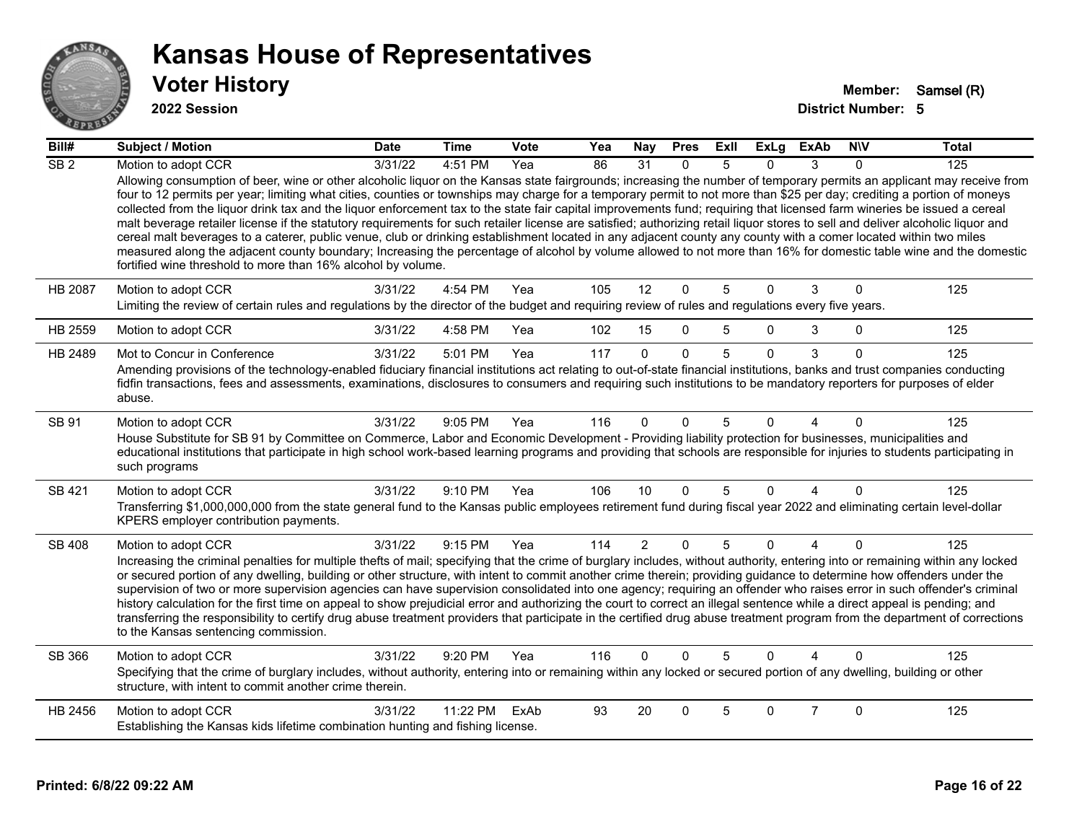

#### **2022 Session**

| Bill#            | <b>Subject / Motion</b>                                                                                                                                                                                                                                                                                                                                                                                                                                                                                                                                                                                                                                                                                                                                                                                                                                                                                                                                                                                                                                                                                                   | <b>Date</b> | Time     | <b>Vote</b> | Yea | <b>Nay</b>     | <b>Pres</b>  | ExII | ExLg         | ExAb           | <b>NIV</b> | Total |
|------------------|---------------------------------------------------------------------------------------------------------------------------------------------------------------------------------------------------------------------------------------------------------------------------------------------------------------------------------------------------------------------------------------------------------------------------------------------------------------------------------------------------------------------------------------------------------------------------------------------------------------------------------------------------------------------------------------------------------------------------------------------------------------------------------------------------------------------------------------------------------------------------------------------------------------------------------------------------------------------------------------------------------------------------------------------------------------------------------------------------------------------------|-------------|----------|-------------|-----|----------------|--------------|------|--------------|----------------|------------|-------|
| $\overline{SB2}$ | Motion to adopt CCR                                                                                                                                                                                                                                                                                                                                                                                                                                                                                                                                                                                                                                                                                                                                                                                                                                                                                                                                                                                                                                                                                                       | 3/31/22     | 4:51 PM  | Yea         | 86  | 31             | $\Omega$     | 5    | $\Omega$     | 3              | $\Omega$   | 125   |
|                  | Allowing consumption of beer, wine or other alcoholic liquor on the Kansas state fairgrounds; increasing the number of temporary permits an applicant may receive from<br>four to 12 permits per year; limiting what cities, counties or townships may charge for a temporary permit to not more than \$25 per day; crediting a portion of moneys<br>collected from the liquor drink tax and the liquor enforcement tax to the state fair capital improvements fund; requiring that licensed farm wineries be issued a cereal<br>malt beverage retailer license if the statutory requirements for such retailer license are satisfied; authorizing retail liquor stores to sell and deliver alcoholic liquor and<br>cereal malt beverages to a caterer, public venue, club or drinking establishment located in any adjacent county any county with a comer located within two miles<br>measured along the adjacent county boundary; Increasing the percentage of alcohol by volume allowed to not more than 16% for domestic table wine and the domestic<br>fortified wine threshold to more than 16% alcohol by volume. |             |          |             |     |                |              |      |              |                |            |       |
| <b>HB 2087</b>   | Motion to adopt CCR                                                                                                                                                                                                                                                                                                                                                                                                                                                                                                                                                                                                                                                                                                                                                                                                                                                                                                                                                                                                                                                                                                       | 3/31/22     | 4:54 PM  | Yea         | 105 | 12             | $\mathbf{0}$ | 5    | $\Omega$     | 3              | $\Omega$   | 125   |
|                  | Limiting the review of certain rules and regulations by the director of the budget and requiring review of rules and regulations every five years.                                                                                                                                                                                                                                                                                                                                                                                                                                                                                                                                                                                                                                                                                                                                                                                                                                                                                                                                                                        |             |          |             |     |                |              |      |              |                |            |       |
| HB 2559          | Motion to adopt CCR                                                                                                                                                                                                                                                                                                                                                                                                                                                                                                                                                                                                                                                                                                                                                                                                                                                                                                                                                                                                                                                                                                       | 3/31/22     | 4:58 PM  | Yea         | 102 | 15             | $\mathbf{0}$ | 5    | 0            | 3              | 0          | 125   |
| HB 2489          | Mot to Concur in Conference                                                                                                                                                                                                                                                                                                                                                                                                                                                                                                                                                                                                                                                                                                                                                                                                                                                                                                                                                                                                                                                                                               | 3/31/22     | 5:01 PM  | Yea         | 117 | $\Omega$       | $\mathbf{0}$ | 5    | $\Omega$     | 3              | $\Omega$   | 125   |
|                  | Amending provisions of the technology-enabled fiduciary financial institutions act relating to out-of-state financial institutions, banks and trust companies conducting<br>fidfin transactions, fees and assessments, examinations, disclosures to consumers and requiring such institutions to be mandatory reporters for purposes of elder<br>abuse.                                                                                                                                                                                                                                                                                                                                                                                                                                                                                                                                                                                                                                                                                                                                                                   |             |          |             |     |                |              |      |              |                |            |       |
| SB 91            | Motion to adopt CCR                                                                                                                                                                                                                                                                                                                                                                                                                                                                                                                                                                                                                                                                                                                                                                                                                                                                                                                                                                                                                                                                                                       | 3/31/22     | 9:05 PM  | Yea         | 116 | $\Omega$       | $\Omega$     | 5    | $\Omega$     | Δ              | $\Omega$   | 125   |
|                  | House Substitute for SB 91 by Committee on Commerce, Labor and Economic Development - Providing liability protection for businesses, municipalities and<br>educational institutions that participate in high school work-based learning programs and providing that schools are responsible for injuries to students participating in<br>such programs                                                                                                                                                                                                                                                                                                                                                                                                                                                                                                                                                                                                                                                                                                                                                                    |             |          |             |     |                |              |      |              |                |            |       |
| SB 421           | Motion to adopt CCR                                                                                                                                                                                                                                                                                                                                                                                                                                                                                                                                                                                                                                                                                                                                                                                                                                                                                                                                                                                                                                                                                                       | 3/31/22     | 9:10 PM  | Yea         | 106 | 10             | $\mathbf{0}$ | 5    | $\mathbf{0}$ | 4              | $\Omega$   | 125   |
|                  | Transferring \$1,000,000,000 from the state general fund to the Kansas public employees retirement fund during fiscal year 2022 and eliminating certain level-dollar<br>KPERS employer contribution payments.                                                                                                                                                                                                                                                                                                                                                                                                                                                                                                                                                                                                                                                                                                                                                                                                                                                                                                             |             |          |             |     |                |              |      |              |                |            |       |
| SB 408           | Motion to adopt CCR                                                                                                                                                                                                                                                                                                                                                                                                                                                                                                                                                                                                                                                                                                                                                                                                                                                                                                                                                                                                                                                                                                       | 3/31/22     | 9:15 PM  | Yea         | 114 | $\overline{2}$ | $\mathbf 0$  | 5    | 0            | $\overline{4}$ | $\Omega$   | 125   |
|                  | Increasing the criminal penalties for multiple thefts of mail; specifying that the crime of burglary includes, without authority, entering into or remaining within any locked<br>or secured portion of any dwelling, building or other structure, with intent to commit another crime therein; providing guidance to determine how offenders under the<br>supervision of two or more supervision agencies can have supervision consolidated into one agency; requiring an offender who raises error in such offender's criminal<br>history calculation for the first time on appeal to show prejudicial error and authorizing the court to correct an illegal sentence while a direct appeal is pending; and<br>transferring the responsibility to certify drug abuse treatment providers that participate in the certified drug abuse treatment program from the department of corrections<br>to the Kansas sentencing commission.                                                                                                                                                                                      |             |          |             |     |                |              |      |              |                |            |       |
| SB 366           | Motion to adopt CCR                                                                                                                                                                                                                                                                                                                                                                                                                                                                                                                                                                                                                                                                                                                                                                                                                                                                                                                                                                                                                                                                                                       | 3/31/22     | 9:20 PM  | Yea         | 116 | $\Omega$       | $\Omega$     | 5    | $\Omega$     |                | $\Omega$   | 125   |
|                  | Specifying that the crime of burglary includes, without authority, entering into or remaining within any locked or secured portion of any dwelling, building or other<br>structure, with intent to commit another crime therein.                                                                                                                                                                                                                                                                                                                                                                                                                                                                                                                                                                                                                                                                                                                                                                                                                                                                                          |             |          |             |     |                |              |      |              |                |            |       |
| HB 2456          | Motion to adopt CCR                                                                                                                                                                                                                                                                                                                                                                                                                                                                                                                                                                                                                                                                                                                                                                                                                                                                                                                                                                                                                                                                                                       | 3/31/22     | 11:22 PM | ExAb        | 93  | 20             | $\Omega$     | 5    | $\Omega$     | $\overline{7}$ | $\Omega$   | 125   |
|                  | Establishing the Kansas kids lifetime combination hunting and fishing license.                                                                                                                                                                                                                                                                                                                                                                                                                                                                                                                                                                                                                                                                                                                                                                                                                                                                                                                                                                                                                                            |             |          |             |     |                |              |      |              |                |            |       |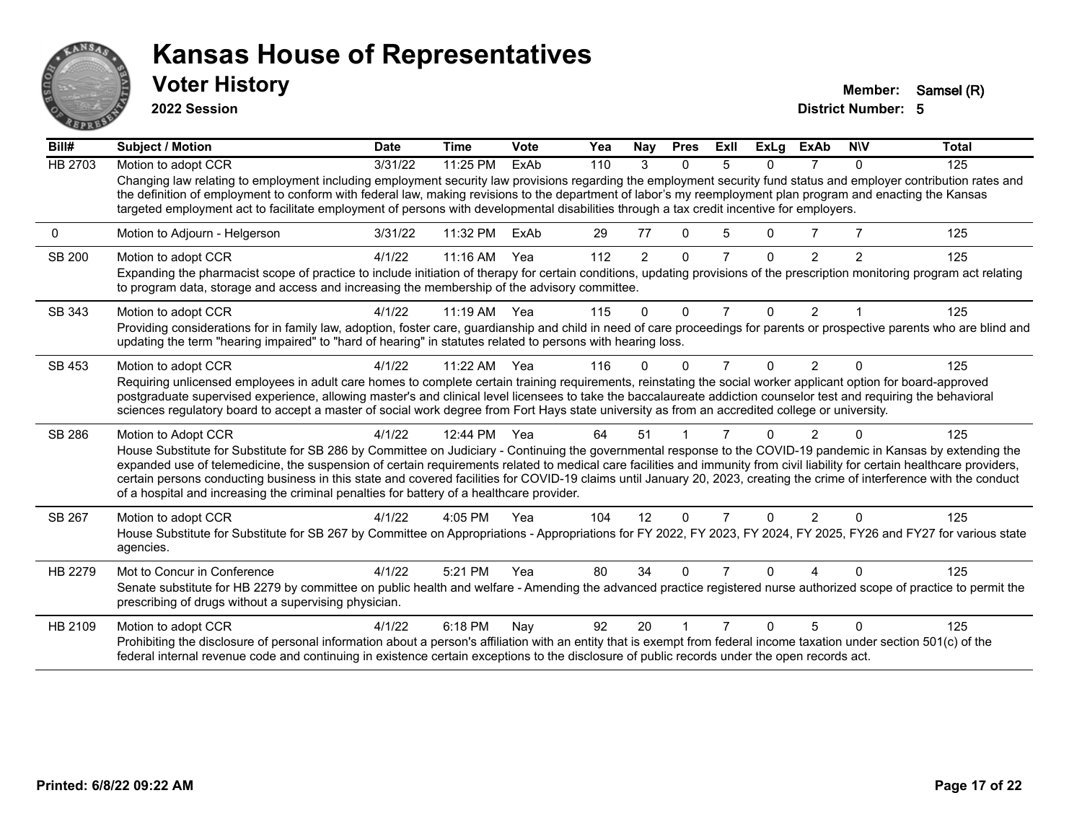

**2022 Session**

**Voter History Member:** Samsel (R)

| Bill#          | <b>Subject / Motion</b>                                                                                                                                                                                                                                                                                                                                                                                                                                                                                                                                                                                                 | <b>Date</b> | <b>Time</b>  | Vote | Yea | Nay | <b>Pres</b> | ExII           | <b>ExLg</b> | <b>ExAb</b>    | <b>NIV</b> | <b>Total</b> |
|----------------|-------------------------------------------------------------------------------------------------------------------------------------------------------------------------------------------------------------------------------------------------------------------------------------------------------------------------------------------------------------------------------------------------------------------------------------------------------------------------------------------------------------------------------------------------------------------------------------------------------------------------|-------------|--------------|------|-----|-----|-------------|----------------|-------------|----------------|------------|--------------|
| <b>HB 2703</b> | Motion to adopt CCR                                                                                                                                                                                                                                                                                                                                                                                                                                                                                                                                                                                                     | 3/31/22     | 11:25 PM     | ExAb | 110 | 3   | $\Omega$    | 5              | 0           |                | $\Omega$   | 125          |
|                | Changing law relating to employment including employment security law provisions regarding the employment security fund status and employer contribution rates and<br>the definition of employment to conform with federal law, making revisions to the department of labor's my reemployment plan program and enacting the Kansas<br>targeted employment act to facilitate employment of persons with developmental disabilities through a tax credit incentive for employers.                                                                                                                                         |             |              |      |     |     |             |                |             |                |            |              |
| 0              | Motion to Adjourn - Helgerson                                                                                                                                                                                                                                                                                                                                                                                                                                                                                                                                                                                           | 3/31/22     | 11:32 PM     | ExAb | 29  | 77  | 0           | 5              | 0           |                |            | 125          |
| SB 200         | Motion to adopt CCR                                                                                                                                                                                                                                                                                                                                                                                                                                                                                                                                                                                                     | 4/1/22      | $11:16$ AM   | Yea  | 112 | 2   | $\Omega$    | $\overline{7}$ | $\Omega$    | $\mathfrak{p}$ | 2          | 125          |
|                | Expanding the pharmacist scope of practice to include initiation of therapy for certain conditions, updating provisions of the prescription monitoring program act relating<br>to program data, storage and access and increasing the membership of the advisory committee.                                                                                                                                                                                                                                                                                                                                             |             |              |      |     |     |             |                |             |                |            |              |
| SB 343         | Motion to adopt CCR                                                                                                                                                                                                                                                                                                                                                                                                                                                                                                                                                                                                     | 4/1/22      | $11:19$ AM   | Yea  | 115 | 0   | $\Omega$    | 7              | 0           | $\overline{2}$ |            | 125          |
|                | Providing considerations for in family law, adoption, foster care, guardianship and child in need of care proceedings for parents or prospective parents who are blind and<br>updating the term "hearing impaired" to "hard of hearing" in statutes related to persons with hearing loss.                                                                                                                                                                                                                                                                                                                               |             |              |      |     |     |             |                |             |                |            |              |
| SB 453         | Motion to adopt CCR                                                                                                                                                                                                                                                                                                                                                                                                                                                                                                                                                                                                     | 4/1/22      | 11:22 AM Yea |      | 116 | 0   | $\Omega$    | $\overline{7}$ | 0           | 2              | $\Omega$   | 125          |
|                | Requiring unlicensed employees in adult care homes to complete certain training requirements, reinstating the social worker applicant option for board-approved                                                                                                                                                                                                                                                                                                                                                                                                                                                         |             |              |      |     |     |             |                |             |                |            |              |
|                | postgraduate supervised experience, allowing master's and clinical level licensees to take the baccalaureate addiction counselor test and requiring the behavioral<br>sciences regulatory board to accept a master of social work degree from Fort Hays state university as from an accredited college or university.                                                                                                                                                                                                                                                                                                   |             |              |      |     |     |             |                |             |                |            |              |
| SB 286         | Motion to Adopt CCR                                                                                                                                                                                                                                                                                                                                                                                                                                                                                                                                                                                                     | 4/1/22      | 12:44 PM     | Yea  | 64  | 51  |             |                | n           | 2              |            | 125          |
|                | House Substitute for Substitute for SB 286 by Committee on Judiciary - Continuing the governmental response to the COVID-19 pandemic in Kansas by extending the<br>expanded use of telemedicine, the suspension of certain requirements related to medical care facilities and immunity from civil liability for certain healthcare providers,<br>certain persons conducting business in this state and covered facilities for COVID-19 claims until January 20, 2023, creating the crime of interference with the conduct<br>of a hospital and increasing the criminal penalties for battery of a healthcare provider. |             |              |      |     |     |             |                |             |                |            |              |
| SB 267         | Motion to adopt CCR                                                                                                                                                                                                                                                                                                                                                                                                                                                                                                                                                                                                     | 4/1/22      | 4:05 PM      | Yea  | 104 | 12  | $\Omega$    | 7              | 0           | $\overline{2}$ | $\Omega$   | 125          |
|                | House Substitute for Substitute for SB 267 by Committee on Appropriations - Appropriations for FY 2022, FY 2023, FY 2024, FY 2025, FY26 and FY27 for various state<br>agencies.                                                                                                                                                                                                                                                                                                                                                                                                                                         |             |              |      |     |     |             |                |             |                |            |              |
| HB 2279        | Mot to Concur in Conference                                                                                                                                                                                                                                                                                                                                                                                                                                                                                                                                                                                             | 4/1/22      | 5:21 PM      | Yea  | 80  | 34  | $\Omega$    |                | U           |                |            | 125          |
|                | Senate substitute for HB 2279 by committee on public health and welfare - Amending the advanced practice registered nurse authorized scope of practice to permit the<br>prescribing of drugs without a supervising physician.                                                                                                                                                                                                                                                                                                                                                                                           |             |              |      |     |     |             |                |             |                |            |              |
| HB 2109        | Motion to adopt CCR                                                                                                                                                                                                                                                                                                                                                                                                                                                                                                                                                                                                     | 4/1/22      | 6:18 PM      | Nay  | 92  | 20  |             |                | n           | 5              | ∩          | 125          |
|                | Prohibiting the disclosure of personal information about a person's affiliation with an entity that is exempt from federal income taxation under section 501(c) of the<br>federal internal revenue code and continuing in existence certain exceptions to the disclosure of public records under the open records act.                                                                                                                                                                                                                                                                                                  |             |              |      |     |     |             |                |             |                |            |              |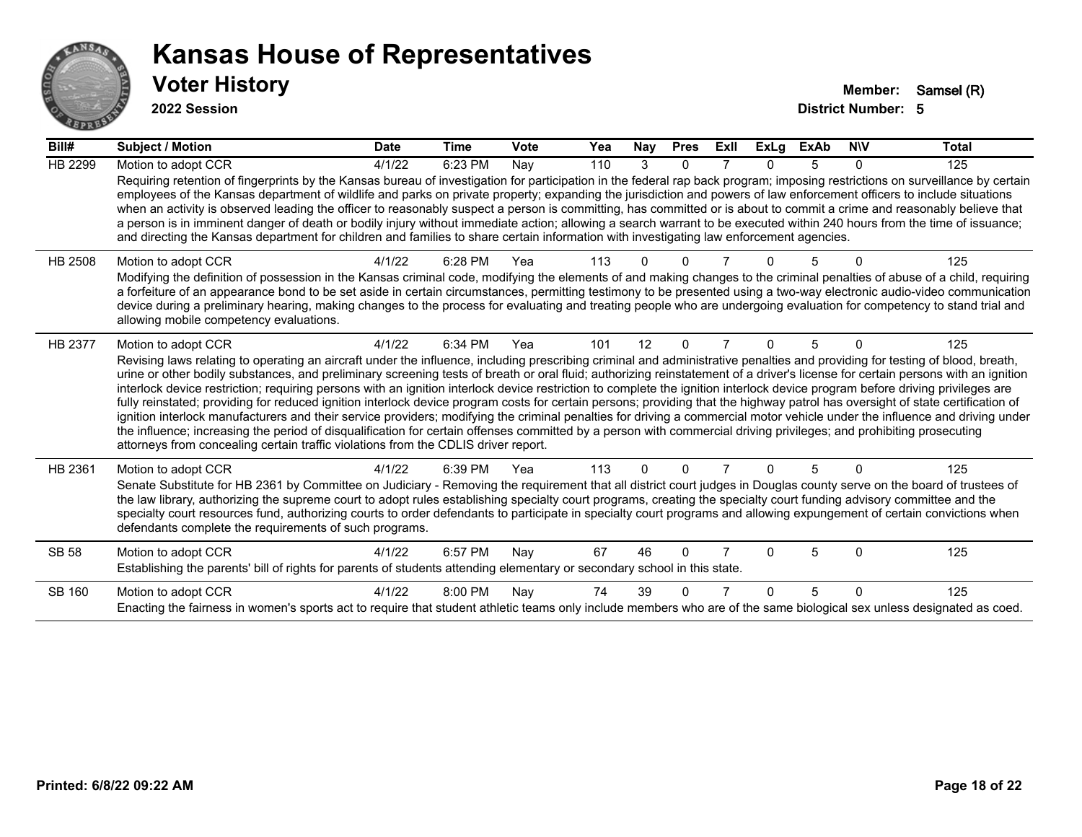

**2022 Session**

| Bill#          | <b>Subject / Motion</b>                                                                                                                                                                                                                                                                                                                                                                                                                                                                                                                                                                                                                                                                                                                                                                                                                                                                                                                                                                                                                                                                                                                                                        | <b>Date</b> | <b>Time</b> | Vote | Yea | Nay | <b>Pres</b> | ExII | <b>ExLg</b> | <b>ExAb</b> | <b>NIV</b>   | <b>Total</b> |
|----------------|--------------------------------------------------------------------------------------------------------------------------------------------------------------------------------------------------------------------------------------------------------------------------------------------------------------------------------------------------------------------------------------------------------------------------------------------------------------------------------------------------------------------------------------------------------------------------------------------------------------------------------------------------------------------------------------------------------------------------------------------------------------------------------------------------------------------------------------------------------------------------------------------------------------------------------------------------------------------------------------------------------------------------------------------------------------------------------------------------------------------------------------------------------------------------------|-------------|-------------|------|-----|-----|-------------|------|-------------|-------------|--------------|--------------|
| <b>HB 2299</b> | Motion to adopt CCR                                                                                                                                                                                                                                                                                                                                                                                                                                                                                                                                                                                                                                                                                                                                                                                                                                                                                                                                                                                                                                                                                                                                                            | 4/1/22      | 6:23 PM     | Nay  | 110 | 3   | $\Omega$    |      | $\Omega$    | 5           | $\mathbf{0}$ | 125          |
|                | Requiring retention of fingerprints by the Kansas bureau of investigation for participation in the federal rap back program; imposing restrictions on surveillance by certain<br>employees of the Kansas department of wildlife and parks on private property; expanding the jurisdiction and powers of law enforcement officers to include situations<br>when an activity is observed leading the officer to reasonably suspect a person is committing, has committed or is about to commit a crime and reasonably believe that<br>a person is in imminent danger of death or bodily injury without immediate action; allowing a search warrant to be executed within 240 hours from the time of issuance;<br>and directing the Kansas department for children and families to share certain information with investigating law enforcement agencies.                                                                                                                                                                                                                                                                                                                         |             |             |      |     |     |             |      |             |             |              |              |
| <b>HB 2508</b> | Motion to adopt CCR                                                                                                                                                                                                                                                                                                                                                                                                                                                                                                                                                                                                                                                                                                                                                                                                                                                                                                                                                                                                                                                                                                                                                            | 4/1/22      | 6:28 PM     | Yea  | 113 |     |             |      |             |             |              | 125          |
|                | Modifying the definition of possession in the Kansas criminal code, modifying the elements of and making changes to the criminal penalties of abuse of a child, requiring<br>a forfeiture of an appearance bond to be set aside in certain circumstances, permitting testimony to be presented using a two-way electronic audio-video communication<br>device during a preliminary hearing, making changes to the process for evaluating and treating people who are undergoing evaluation for competency to stand trial and<br>allowing mobile competency evaluations.                                                                                                                                                                                                                                                                                                                                                                                                                                                                                                                                                                                                        |             |             |      |     |     |             |      |             |             |              |              |
| HB 2377        | Motion to adopt CCR                                                                                                                                                                                                                                                                                                                                                                                                                                                                                                                                                                                                                                                                                                                                                                                                                                                                                                                                                                                                                                                                                                                                                            | 4/1/22      | 6:34 PM     | Yea  | 101 | 12  | $\Omega$    | 7    | 0           | 5           | $\Omega$     | 125          |
|                | Revising laws relating to operating an aircraft under the influence, including prescribing criminal and administrative penalties and providing for testing of blood, breath,<br>urine or other bodily substances, and preliminary screening tests of breath or oral fluid; authorizing reinstatement of a driver's license for certain persons with an ignition<br>interlock device restriction; requiring persons with an ignition interlock device restriction to complete the ignition interlock device program before driving privileges are<br>fully reinstated; providing for reduced ignition interlock device program costs for certain persons; providing that the highway patrol has oversight of state certification of<br>ignition interlock manufacturers and their service providers; modifying the criminal penalties for driving a commercial motor vehicle under the influence and driving under<br>the influence; increasing the period of disqualification for certain offenses committed by a person with commercial driving privileges; and prohibiting prosecuting<br>attorneys from concealing certain traffic violations from the CDLIS driver report. |             |             |      |     |     |             |      |             |             |              |              |
| HB 2361        | Motion to adopt CCR                                                                                                                                                                                                                                                                                                                                                                                                                                                                                                                                                                                                                                                                                                                                                                                                                                                                                                                                                                                                                                                                                                                                                            | 4/1/22      | 6:39 PM     | Yea  | 113 | 0   | 0           |      |             | 5           | N            | 125          |
|                | Senate Substitute for HB 2361 by Committee on Judiciary - Removing the requirement that all district court judges in Douglas county serve on the board of trustees of<br>the law library, authorizing the supreme court to adopt rules establishing specialty court programs, creating the specialty court funding advisory committee and the<br>specialty court resources fund, authorizing courts to order defendants to participate in specialty court programs and allowing expungement of certain convictions when<br>defendants complete the requirements of such programs.                                                                                                                                                                                                                                                                                                                                                                                                                                                                                                                                                                                              |             |             |      |     |     |             |      |             |             |              |              |
| <b>SB 58</b>   | Motion to adopt CCR                                                                                                                                                                                                                                                                                                                                                                                                                                                                                                                                                                                                                                                                                                                                                                                                                                                                                                                                                                                                                                                                                                                                                            | 4/1/22      | 6:57 PM     | Nay  | 67  | 46  | 0           |      |             | 5           | 0            | 125          |
|                | Establishing the parents' bill of rights for parents of students attending elementary or secondary school in this state.                                                                                                                                                                                                                                                                                                                                                                                                                                                                                                                                                                                                                                                                                                                                                                                                                                                                                                                                                                                                                                                       |             |             |      |     |     |             |      |             |             |              |              |
| SB 160         | Motion to adopt CCR                                                                                                                                                                                                                                                                                                                                                                                                                                                                                                                                                                                                                                                                                                                                                                                                                                                                                                                                                                                                                                                                                                                                                            | 4/1/22      | 8:00 PM     | Nay  | 74  | 39  | U           |      |             | 5           | $\Omega$     | 125          |
|                | Enacting the fairness in women's sports act to require that student athletic teams only include members who are of the same biological sex unless designated as coed.                                                                                                                                                                                                                                                                                                                                                                                                                                                                                                                                                                                                                                                                                                                                                                                                                                                                                                                                                                                                          |             |             |      |     |     |             |      |             |             |              |              |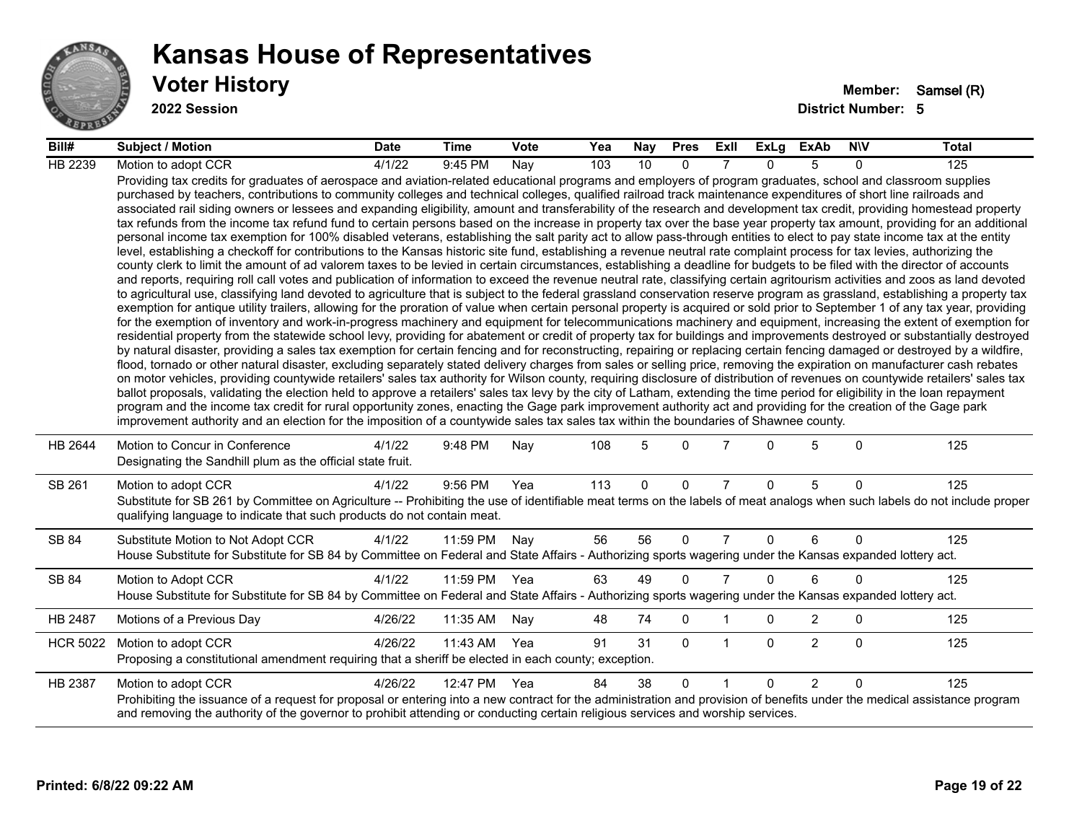

**2022 Session**

| Bill#           | Subject / Motion                                                                                                                                                                                                                                                                                                                                                                                                                                                                                                                                                                                                                                                                                                                                                                                                                                                                                                                                                                                                                                                                                                                                                                                                                                                                                                                                                                                                                                                                                                                                                                                                                                                                                                                                                                                                                                                                                                                                                                                                                                                                                                                                                                                                                                                                                                                                                                                                                                                                                                                                                                                                                                                                                                                                                                                                                                                                                                                                                                                                                                                                                                                                                            | <b>Date</b> | <b>Time</b> | Vote | Yea | Nay         | <b>Pres</b>  | ExII           | <b>ExLg</b>  | <b>ExAb</b>    | <b>NIV</b>   | <b>Total</b> |
|-----------------|-----------------------------------------------------------------------------------------------------------------------------------------------------------------------------------------------------------------------------------------------------------------------------------------------------------------------------------------------------------------------------------------------------------------------------------------------------------------------------------------------------------------------------------------------------------------------------------------------------------------------------------------------------------------------------------------------------------------------------------------------------------------------------------------------------------------------------------------------------------------------------------------------------------------------------------------------------------------------------------------------------------------------------------------------------------------------------------------------------------------------------------------------------------------------------------------------------------------------------------------------------------------------------------------------------------------------------------------------------------------------------------------------------------------------------------------------------------------------------------------------------------------------------------------------------------------------------------------------------------------------------------------------------------------------------------------------------------------------------------------------------------------------------------------------------------------------------------------------------------------------------------------------------------------------------------------------------------------------------------------------------------------------------------------------------------------------------------------------------------------------------------------------------------------------------------------------------------------------------------------------------------------------------------------------------------------------------------------------------------------------------------------------------------------------------------------------------------------------------------------------------------------------------------------------------------------------------------------------------------------------------------------------------------------------------------------------------------------------------------------------------------------------------------------------------------------------------------------------------------------------------------------------------------------------------------------------------------------------------------------------------------------------------------------------------------------------------------------------------------------------------------------------------------------------------|-------------|-------------|------|-----|-------------|--------------|----------------|--------------|----------------|--------------|--------------|
| HB 2239         | Motion to adopt CCR                                                                                                                                                                                                                                                                                                                                                                                                                                                                                                                                                                                                                                                                                                                                                                                                                                                                                                                                                                                                                                                                                                                                                                                                                                                                                                                                                                                                                                                                                                                                                                                                                                                                                                                                                                                                                                                                                                                                                                                                                                                                                                                                                                                                                                                                                                                                                                                                                                                                                                                                                                                                                                                                                                                                                                                                                                                                                                                                                                                                                                                                                                                                                         | 4/1/22      | 9:45 PM     | Nay  | 103 | 10          | $\Omega$     | 7              | $\Omega$     | 5              | $\Omega$     | 125          |
|                 | Providing tax credits for graduates of aerospace and aviation-related educational programs and employers of program graduates, school and classroom supplies<br>purchased by teachers, contributions to community colleges and technical colleges, qualified railroad track maintenance expenditures of short line railroads and<br>associated rail siding owners or lessees and expanding eligibility, amount and transferability of the research and development tax credit, providing homestead property<br>tax refunds from the income tax refund fund to certain persons based on the increase in property tax over the base year property tax amount, providing for an additional<br>personal income tax exemption for 100% disabled veterans, establishing the salt parity act to allow pass-through entities to elect to pay state income tax at the entity<br>level, establishing a checkoff for contributions to the Kansas historic site fund, establishing a revenue neutral rate complaint process for tax levies, authorizing the<br>county clerk to limit the amount of ad valorem taxes to be levied in certain circumstances, establishing a deadline for budgets to be filed with the director of accounts<br>and reports, requiring roll call votes and publication of information to exceed the revenue neutral rate, classifying certain agritourism activities and zoos as land devoted<br>to agricultural use, classifying land devoted to agriculture that is subject to the federal grassland conservation reserve program as grassland, establishing a property tax<br>exemption for antique utility trailers, allowing for the proration of value when certain personal property is acquired or sold prior to September 1 of any tax year, providing<br>for the exemption of inventory and work-in-progress machinery and equipment for telecommunications machinery and equipment, increasing the extent of exemption for<br>residential property from the statewide school levy, providing for abatement or credit of property tax for buildings and improvements destroyed or substantially destroyed<br>by natural disaster, providing a sales tax exemption for certain fencing and for reconstructing, repairing or replacing certain fencing damaged or destroyed by a wildfire,<br>flood, tornado or other natural disaster, excluding separately stated delivery charges from sales or selling price, removing the expiration on manufacturer cash rebates<br>on motor vehicles, providing countywide retailers' sales tax authority for Wilson county, requiring disclosure of distribution of revenues on countywide retailers' sales tax<br>ballot proposals, validating the election held to approve a retailers' sales tax levy by the city of Latham, extending the time period for eligibility in the loan repayment<br>program and the income tax credit for rural opportunity zones, enacting the Gage park improvement authority act and providing for the creation of the Gage park<br>improvement authority and an election for the imposition of a countywide sales tax sales tax within the boundaries of Shawnee county. |             |             |      |     |             |              |                |              |                |              |              |
| HB 2644         | Motion to Concur in Conference<br>Designating the Sandhill plum as the official state fruit.                                                                                                                                                                                                                                                                                                                                                                                                                                                                                                                                                                                                                                                                                                                                                                                                                                                                                                                                                                                                                                                                                                                                                                                                                                                                                                                                                                                                                                                                                                                                                                                                                                                                                                                                                                                                                                                                                                                                                                                                                                                                                                                                                                                                                                                                                                                                                                                                                                                                                                                                                                                                                                                                                                                                                                                                                                                                                                                                                                                                                                                                                | 4/1/22      | 9:48 PM     | Nay  | 108 | 5           | $\Omega$     | 7              | $\Omega$     | 5              | $\Omega$     | 125          |
| SB 261          | Motion to adopt CCR<br>Substitute for SB 261 by Committee on Agriculture -- Prohibiting the use of identifiable meat terms on the labels of meat analogs when such labels do not include proper<br>qualifying language to indicate that such products do not contain meat.                                                                                                                                                                                                                                                                                                                                                                                                                                                                                                                                                                                                                                                                                                                                                                                                                                                                                                                                                                                                                                                                                                                                                                                                                                                                                                                                                                                                                                                                                                                                                                                                                                                                                                                                                                                                                                                                                                                                                                                                                                                                                                                                                                                                                                                                                                                                                                                                                                                                                                                                                                                                                                                                                                                                                                                                                                                                                                  | 4/1/22      | 9:56 PM     | Yea  | 113 | $\mathbf 0$ | 0            | $\overline{7}$ | $\Omega$     | 5              | $\mathbf{0}$ | 125          |
| SB 84           | Substitute Motion to Not Adopt CCR<br>House Substitute for Substitute for SB 84 by Committee on Federal and State Affairs - Authorizing sports wagering under the Kansas expanded lottery act.                                                                                                                                                                                                                                                                                                                                                                                                                                                                                                                                                                                                                                                                                                                                                                                                                                                                                                                                                                                                                                                                                                                                                                                                                                                                                                                                                                                                                                                                                                                                                                                                                                                                                                                                                                                                                                                                                                                                                                                                                                                                                                                                                                                                                                                                                                                                                                                                                                                                                                                                                                                                                                                                                                                                                                                                                                                                                                                                                                              | 4/1/22      | 11:59 PM    | Nay  | 56  | 56          | $\Omega$     | $\overline{7}$ | $\Omega$     | 6              | $\Omega$     | 125          |
| SB 84           | Motion to Adopt CCR<br>House Substitute for Substitute for SB 84 by Committee on Federal and State Affairs - Authorizing sports wagering under the Kansas expanded lottery act.                                                                                                                                                                                                                                                                                                                                                                                                                                                                                                                                                                                                                                                                                                                                                                                                                                                                                                                                                                                                                                                                                                                                                                                                                                                                                                                                                                                                                                                                                                                                                                                                                                                                                                                                                                                                                                                                                                                                                                                                                                                                                                                                                                                                                                                                                                                                                                                                                                                                                                                                                                                                                                                                                                                                                                                                                                                                                                                                                                                             | 4/1/22      | 11:59 PM    | Yea  | 63  | 49          | $\mathbf{0}$ | $\overline{7}$ | $\Omega$     | 6              | $\Omega$     | 125          |
| HB 2487         | Motions of a Previous Day                                                                                                                                                                                                                                                                                                                                                                                                                                                                                                                                                                                                                                                                                                                                                                                                                                                                                                                                                                                                                                                                                                                                                                                                                                                                                                                                                                                                                                                                                                                                                                                                                                                                                                                                                                                                                                                                                                                                                                                                                                                                                                                                                                                                                                                                                                                                                                                                                                                                                                                                                                                                                                                                                                                                                                                                                                                                                                                                                                                                                                                                                                                                                   | 4/26/22     | 11:35 AM    | Nay  | 48  | 74          | $\mathbf 0$  | 1              | $\mathbf{0}$ | $\overline{2}$ | $\mathbf 0$  | 125          |
| <b>HCR 5022</b> | Motion to adopt CCR<br>Proposing a constitutional amendment requiring that a sheriff be elected in each county; exception.                                                                                                                                                                                                                                                                                                                                                                                                                                                                                                                                                                                                                                                                                                                                                                                                                                                                                                                                                                                                                                                                                                                                                                                                                                                                                                                                                                                                                                                                                                                                                                                                                                                                                                                                                                                                                                                                                                                                                                                                                                                                                                                                                                                                                                                                                                                                                                                                                                                                                                                                                                                                                                                                                                                                                                                                                                                                                                                                                                                                                                                  | 4/26/22     | 11:43 AM    | Yea  | 91  | 31          | $\mathbf{0}$ | $\mathbf{1}$   | $\Omega$     | $\overline{2}$ | $\Omega$     | 125          |
| HB 2387         | Motion to adopt CCR<br>Prohibiting the issuance of a request for proposal or entering into a new contract for the administration and provision of benefits under the medical assistance program<br>and removing the authority of the governor to prohibit attending or conducting certain religious services and worship services.                                                                                                                                                                                                                                                                                                                                                                                                                                                                                                                                                                                                                                                                                                                                                                                                                                                                                                                                                                                                                                                                                                                                                                                                                                                                                                                                                                                                                                                                                                                                                                                                                                                                                                                                                                                                                                                                                                                                                                                                                                                                                                                                                                                                                                                                                                                                                                                                                                                                                                                                                                                                                                                                                                                                                                                                                                          | 4/26/22     | 12:47 PM    | Yea  | 84  | 38          | $\Omega$     |                | $\Omega$     | $\mathcal{P}$  | $\Omega$     | 125          |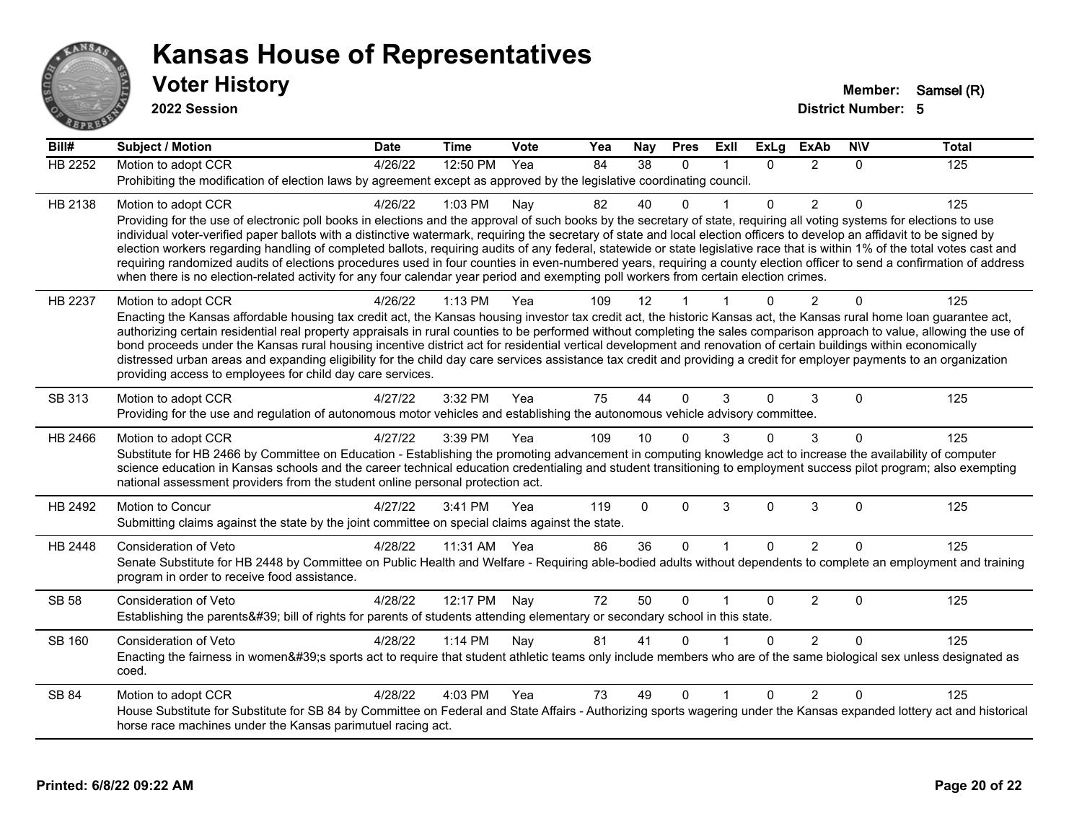

**2022 Session**

| Bill#          | <b>Subject / Motion</b>                                                                                                                                                                                                                                                                                                                               | <b>Date</b> | <b>Time</b>  | <b>Vote</b> | Yea | Nay      | <b>Pres</b>  | ExIl         | <b>ExLg</b>  | <b>ExAb</b>    | <b>NIV</b> | <b>Total</b> |
|----------------|-------------------------------------------------------------------------------------------------------------------------------------------------------------------------------------------------------------------------------------------------------------------------------------------------------------------------------------------------------|-------------|--------------|-------------|-----|----------|--------------|--------------|--------------|----------------|------------|--------------|
| <b>HB 2252</b> | Motion to adopt CCR                                                                                                                                                                                                                                                                                                                                   | 4/26/22     | 12:50 PM     | Yea         | 84  | 38       | $\mathbf{0}$ | 1            | $\Omega$     | $\overline{2}$ | $\Omega$   | 125          |
|                | Prohibiting the modification of election laws by agreement except as approved by the legislative coordinating council.                                                                                                                                                                                                                                |             |              |             |     |          |              |              |              |                |            |              |
| HB 2138        | Motion to adopt CCR                                                                                                                                                                                                                                                                                                                                   | 4/26/22     | 1:03 PM      | Nay         | 82  | 40       | $\Omega$     |              | $\Omega$     | $\overline{2}$ | $\Omega$   | 125          |
|                | Providing for the use of electronic poll books in elections and the approval of such books by the secretary of state, requiring all voting systems for elections to use<br>individual voter-verified paper ballots with a distinctive watermark, requiring the secretary of state and local election officers to develop an affidavit to be signed by |             |              |             |     |          |              |              |              |                |            |              |
|                | election workers regarding handling of completed ballots, requiring audits of any federal, statewide or state legislative race that is within 1% of the total votes cast and                                                                                                                                                                          |             |              |             |     |          |              |              |              |                |            |              |
|                | requiring randomized audits of elections procedures used in four counties in even-numbered years, requiring a county election officer to send a confirmation of address                                                                                                                                                                               |             |              |             |     |          |              |              |              |                |            |              |
|                | when there is no election-related activity for any four calendar year period and exempting poll workers from certain election crimes.                                                                                                                                                                                                                 |             |              |             |     |          |              |              |              |                |            |              |
| HB 2237        | Motion to adopt CCR                                                                                                                                                                                                                                                                                                                                   | 4/26/22     | 1:13 PM      | Yea         | 109 | 12       |              |              | <sup>0</sup> | 2              | $\Omega$   | 125          |
|                | Enacting the Kansas affordable housing tax credit act, the Kansas housing investor tax credit act, the historic Kansas act, the Kansas rural home loan guarantee act,                                                                                                                                                                                 |             |              |             |     |          |              |              |              |                |            |              |
|                | authorizing certain residential real property appraisals in rural counties to be performed without completing the sales comparison approach to value, allowing the use of<br>bond proceeds under the Kansas rural housing incentive district act for residential vertical development and renovation of certain buildings within economically         |             |              |             |     |          |              |              |              |                |            |              |
|                | distressed urban areas and expanding eligibility for the child day care services assistance tax credit and providing a credit for employer payments to an organization                                                                                                                                                                                |             |              |             |     |          |              |              |              |                |            |              |
|                | providing access to employees for child day care services.                                                                                                                                                                                                                                                                                            |             |              |             |     |          |              |              |              |                |            |              |
| SB 313         | Motion to adopt CCR                                                                                                                                                                                                                                                                                                                                   | 4/27/22     | 3:32 PM      | Yea         | 75  | 44       | $\Omega$     | 3            | 0            | 3              | $\Omega$   | 125          |
|                | Providing for the use and regulation of autonomous motor vehicles and establishing the autonomous vehicle advisory committee.                                                                                                                                                                                                                         |             |              |             |     |          |              |              |              |                |            |              |
| HB 2466        | Motion to adopt CCR                                                                                                                                                                                                                                                                                                                                   | 4/27/22     | 3:39 PM      | Yea         | 109 | 10       |              |              | 0            | 3              | $\Omega$   | 125          |
|                | Substitute for HB 2466 by Committee on Education - Establishing the promoting advancement in computing knowledge act to increase the availability of computer                                                                                                                                                                                         |             |              |             |     |          |              |              |              |                |            |              |
|                | science education in Kansas schools and the career technical education credentialing and student transitioning to employment success pilot program; also exempting<br>national assessment providers from the student online personal protection act.                                                                                                  |             |              |             |     |          |              |              |              |                |            |              |
|                |                                                                                                                                                                                                                                                                                                                                                       |             |              |             |     |          |              |              |              |                |            |              |
| HB 2492        | Motion to Concur                                                                                                                                                                                                                                                                                                                                      | 4/27/22     | 3:41 PM      | Yea         | 119 | $\Omega$ | $\mathbf 0$  | 3            | $\mathbf{0}$ | 3              | $\Omega$   | 125          |
|                | Submitting claims against the state by the joint committee on special claims against the state.                                                                                                                                                                                                                                                       |             |              |             |     |          |              |              |              |                |            |              |
| HB 2448        | Consideration of Veto                                                                                                                                                                                                                                                                                                                                 | 4/28/22     | 11:31 AM Yea |             | 86  | 36       | $\mathbf 0$  | $\mathbf{1}$ | $\Omega$     | $\overline{2}$ | $\Omega$   | 125          |
|                | Senate Substitute for HB 2448 by Committee on Public Health and Welfare - Requiring able-bodied adults without dependents to complete an employment and training<br>program in order to receive food assistance.                                                                                                                                      |             |              |             |     |          |              |              |              |                |            |              |
|                |                                                                                                                                                                                                                                                                                                                                                       |             |              |             |     |          |              |              |              |                |            |              |
| <b>SB 58</b>   | Consideration of Veto                                                                                                                                                                                                                                                                                                                                 | 4/28/22     | 12:17 PM     | Nay         | 72  | 50       | $\mathbf{0}$ |              | 0            | $\overline{2}$ | $\Omega$   | 125          |
|                | Establishing the parents' bill of rights for parents of students attending elementary or secondary school in this state.                                                                                                                                                                                                                              |             |              |             |     |          |              |              |              |                |            |              |
| SB 160         | <b>Consideration of Veto</b>                                                                                                                                                                                                                                                                                                                          | 4/28/22     | 1:14 PM      | Nay         | 81  | 41       | $\Omega$     |              | $\Omega$     | $\overline{2}$ | $\Omega$   | 125          |
|                | Enacting the fairness in women's sports act to require that student athletic teams only include members who are of the same biological sex unless designated as<br>coed.                                                                                                                                                                              |             |              |             |     |          |              |              |              |                |            |              |
| SB 84          | Motion to adopt CCR                                                                                                                                                                                                                                                                                                                                   | 4/28/22     | 4:03 PM      | Yea         | 73  | 49       | $\Omega$     |              | $\Omega$     | $\overline{2}$ | $\Omega$   | 125          |
|                | House Substitute for Substitute for SB 84 by Committee on Federal and State Affairs - Authorizing sports wagering under the Kansas expanded lottery act and historical                                                                                                                                                                                |             |              |             |     |          |              |              |              |                |            |              |
|                | horse race machines under the Kansas parimutuel racing act.                                                                                                                                                                                                                                                                                           |             |              |             |     |          |              |              |              |                |            |              |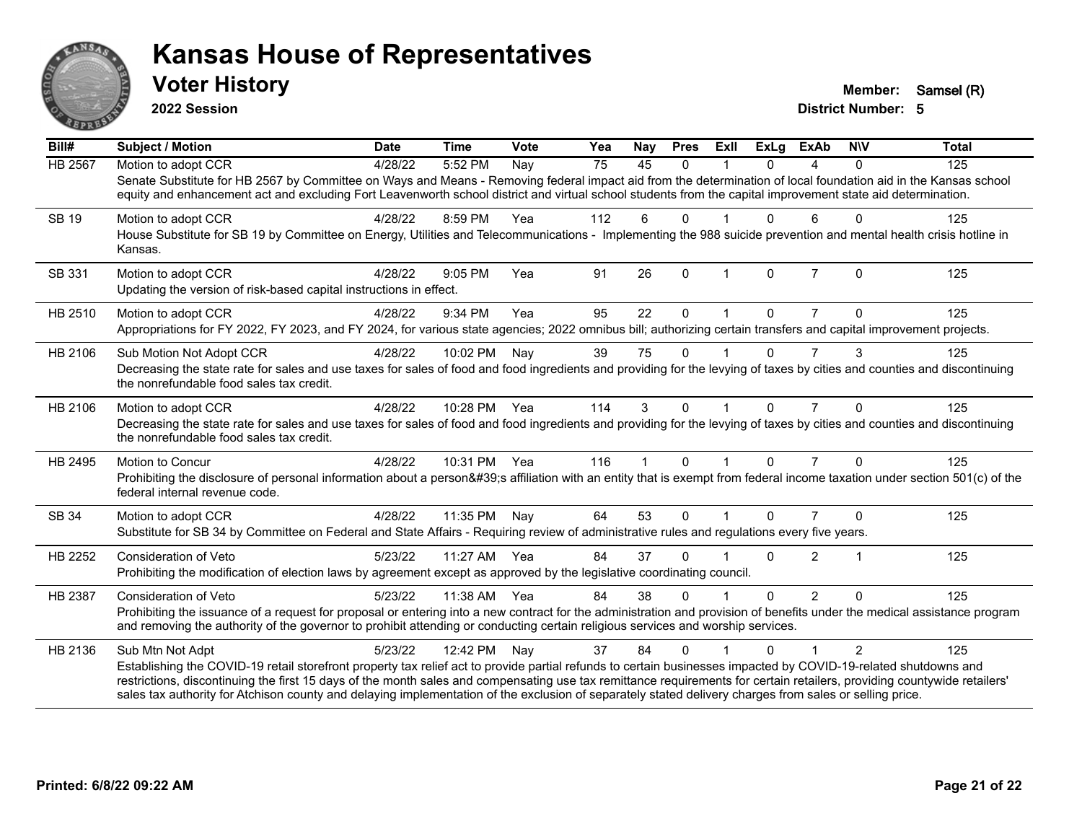

**2022 Session**

**Voter History Member:** Samsel (R)

| Bill#          | Subject / Motion                                                                                                                                                                                                                                                                                                                                                                                                                                                                                                           | <b>Date</b> | <b>Time</b>  | Vote | Yea | Nay          | <b>Pres</b>  | ExII           | ExLg     | <b>ExAb</b>    | <b>NIV</b> | <b>Total</b> |
|----------------|----------------------------------------------------------------------------------------------------------------------------------------------------------------------------------------------------------------------------------------------------------------------------------------------------------------------------------------------------------------------------------------------------------------------------------------------------------------------------------------------------------------------------|-------------|--------------|------|-----|--------------|--------------|----------------|----------|----------------|------------|--------------|
| <b>HB 2567</b> | Motion to adopt CCR<br>Senate Substitute for HB 2567 by Committee on Ways and Means - Removing federal impact aid from the determination of local foundation aid in the Kansas school<br>equity and enhancement act and excluding Fort Leavenworth school district and virtual school students from the capital improvement state aid determination.                                                                                                                                                                       | 4/28/22     | 5:52 PM      | Nay  | 75  | 45           | $\Omega$     |                | $\Omega$ | 4              | $\Omega$   | 125          |
| <b>SB 19</b>   | Motion to adopt CCR<br>House Substitute for SB 19 by Committee on Energy, Utilities and Telecommunications - Implementing the 988 suicide prevention and mental health crisis hotline in<br>Kansas.                                                                                                                                                                                                                                                                                                                        | 4/28/22     | 8:59 PM      | Yea  | 112 | 6            | $\mathbf{0}$ |                | 0        | 6              | $\Omega$   | 125          |
| SB 331         | Motion to adopt CCR<br>Updating the version of risk-based capital instructions in effect.                                                                                                                                                                                                                                                                                                                                                                                                                                  | 4/28/22     | 9:05 PM      | Yea  | 91  | 26           | $\mathbf{0}$ | $\overline{1}$ | 0        | $\overline{7}$ | $\Omega$   | 125          |
| HB 2510        | Motion to adopt CCR<br>Appropriations for FY 2022, FY 2023, and FY 2024, for various state agencies; 2022 omnibus bill; authorizing certain transfers and capital improvement projects.                                                                                                                                                                                                                                                                                                                                    | 4/28/22     | 9:34 PM      | Yea  | 95  | 22           | $\Omega$     |                | $\Omega$ | $\overline{7}$ | $\Omega$   | 125          |
| HB 2106        | Sub Motion Not Adopt CCR<br>Decreasing the state rate for sales and use taxes for sales of food and food ingredients and providing for the levying of taxes by cities and counties and discontinuing<br>the nonrefundable food sales tax credit.                                                                                                                                                                                                                                                                           | 4/28/22     | 10:02 PM     | Nay  | 39  | 75           | $\Omega$     |                | $\Omega$ |                | 3          | 125          |
| HB 2106        | Motion to adopt CCR<br>Decreasing the state rate for sales and use taxes for sales of food and food ingredients and providing for the levying of taxes by cities and counties and discontinuing<br>the nonrefundable food sales tax credit.                                                                                                                                                                                                                                                                                | 4/28/22     | 10:28 PM Yea |      | 114 | 3            | $\mathbf{0}$ |                | $\Omega$ | $\overline{7}$ | $\Omega$   | 125          |
| HB 2495        | <b>Motion to Concur</b><br>Prohibiting the disclosure of personal information about a person's affiliation with an entity that is exempt from federal income taxation under section 501(c) of the<br>federal internal revenue code.                                                                                                                                                                                                                                                                                        | 4/28/22     | 10:31 PM Yea |      | 116 | $\mathbf{1}$ | $\Omega$     | $\mathbf{1}$   | $\Omega$ | $\overline{7}$ | $\Omega$   | 125          |
| SB 34          | Motion to adopt CCR<br>Substitute for SB 34 by Committee on Federal and State Affairs - Requiring review of administrative rules and regulations every five years.                                                                                                                                                                                                                                                                                                                                                         | 4/28/22     | 11:35 PM     | Nay  | 64  | 53           | $\mathbf{0}$ |                | 0        |                | $\Omega$   | 125          |
| HB 2252        | <b>Consideration of Veto</b><br>Prohibiting the modification of election laws by agreement except as approved by the legislative coordinating council.                                                                                                                                                                                                                                                                                                                                                                     | 5/23/22     | 11:27 AM Yea |      | 84  | 37           | $\Omega$     |                | $\Omega$ | $\overline{2}$ |            | 125          |
| <b>HB 2387</b> | Consideration of Veto<br>Prohibiting the issuance of a request for proposal or entering into a new contract for the administration and provision of benefits under the medical assistance program<br>and removing the authority of the governor to prohibit attending or conducting certain religious services and worship services.                                                                                                                                                                                       | 5/23/22     | 11:38 AM Yea |      | 84  | 38           | $\Omega$     |                | $\Omega$ | $\overline{2}$ | $\Omega$   | 125          |
| HB 2136        | Sub Mtn Not Adpt<br>Establishing the COVID-19 retail storefront property tax relief act to provide partial refunds to certain businesses impacted by COVID-19-related shutdowns and<br>restrictions, discontinuing the first 15 days of the month sales and compensating use tax remittance requirements for certain retailers, providing countywide retailers'<br>sales tax authority for Atchison county and delaying implementation of the exclusion of separately stated delivery charges from sales or selling price. | 5/23/22     | 12:42 PM     | Nav  | 37  | 84           | $\Omega$     |                | 0        |                | 2          | 125          |